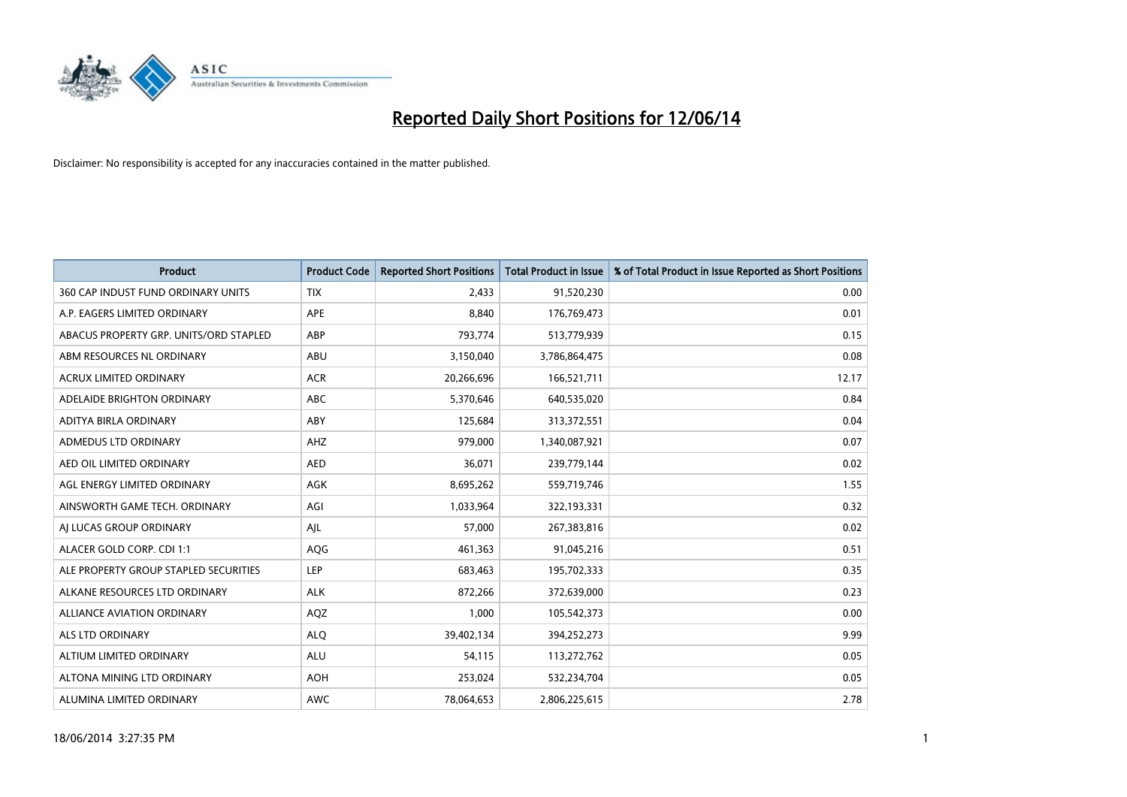

| <b>Product</b>                         | <b>Product Code</b> | <b>Reported Short Positions</b> | <b>Total Product in Issue</b> | % of Total Product in Issue Reported as Short Positions |
|----------------------------------------|---------------------|---------------------------------|-------------------------------|---------------------------------------------------------|
| 360 CAP INDUST FUND ORDINARY UNITS     | <b>TIX</b>          | 2,433                           | 91,520,230                    | 0.00                                                    |
| A.P. EAGERS LIMITED ORDINARY           | APE                 | 8,840                           | 176,769,473                   | 0.01                                                    |
| ABACUS PROPERTY GRP. UNITS/ORD STAPLED | ABP                 | 793,774                         | 513,779,939                   | 0.15                                                    |
| ABM RESOURCES NL ORDINARY              | ABU                 | 3,150,040                       | 3,786,864,475                 | 0.08                                                    |
| <b>ACRUX LIMITED ORDINARY</b>          | <b>ACR</b>          | 20,266,696                      | 166,521,711                   | 12.17                                                   |
| ADELAIDE BRIGHTON ORDINARY             | <b>ABC</b>          | 5,370,646                       | 640,535,020                   | 0.84                                                    |
| ADITYA BIRLA ORDINARY                  | ABY                 | 125,684                         | 313,372,551                   | 0.04                                                    |
| ADMEDUS LTD ORDINARY                   | AHZ                 | 979,000                         | 1,340,087,921                 | 0.07                                                    |
| AED OIL LIMITED ORDINARY               | <b>AED</b>          | 36,071                          | 239,779,144                   | 0.02                                                    |
| AGL ENERGY LIMITED ORDINARY            | <b>AGK</b>          | 8,695,262                       | 559,719,746                   | 1.55                                                    |
| AINSWORTH GAME TECH. ORDINARY          | AGI                 | 1,033,964                       | 322,193,331                   | 0.32                                                    |
| AI LUCAS GROUP ORDINARY                | AJL                 | 57,000                          | 267,383,816                   | 0.02                                                    |
| ALACER GOLD CORP. CDI 1:1              | AQG                 | 461,363                         | 91,045,216                    | 0.51                                                    |
| ALE PROPERTY GROUP STAPLED SECURITIES  | LEP                 | 683,463                         | 195,702,333                   | 0.35                                                    |
| ALKANE RESOURCES LTD ORDINARY          | <b>ALK</b>          | 872,266                         | 372,639,000                   | 0.23                                                    |
| ALLIANCE AVIATION ORDINARY             | AQZ                 | 1,000                           | 105,542,373                   | 0.00                                                    |
| ALS LTD ORDINARY                       | <b>ALQ</b>          | 39,402,134                      | 394,252,273                   | 9.99                                                    |
| ALTIUM LIMITED ORDINARY                | ALU                 | 54,115                          | 113,272,762                   | 0.05                                                    |
| ALTONA MINING LTD ORDINARY             | <b>AOH</b>          | 253,024                         | 532,234,704                   | 0.05                                                    |
| ALUMINA LIMITED ORDINARY               | <b>AWC</b>          | 78,064,653                      | 2,806,225,615                 | 2.78                                                    |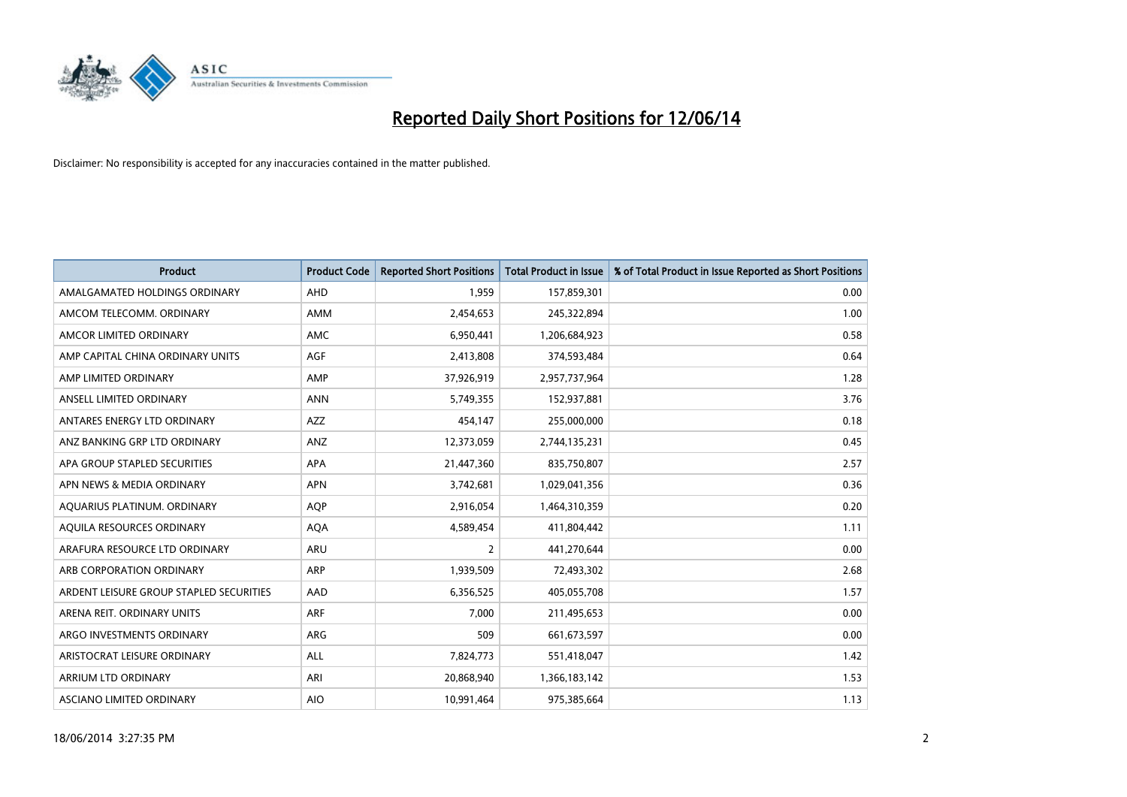

| <b>Product</b>                          | <b>Product Code</b> | <b>Reported Short Positions</b> | <b>Total Product in Issue</b> | % of Total Product in Issue Reported as Short Positions |
|-----------------------------------------|---------------------|---------------------------------|-------------------------------|---------------------------------------------------------|
| AMALGAMATED HOLDINGS ORDINARY           | AHD                 | 1,959                           | 157,859,301                   | 0.00                                                    |
| AMCOM TELECOMM. ORDINARY                | AMM                 | 2,454,653                       | 245,322,894                   | 1.00                                                    |
| AMCOR LIMITED ORDINARY                  | <b>AMC</b>          | 6,950,441                       | 1,206,684,923                 | 0.58                                                    |
| AMP CAPITAL CHINA ORDINARY UNITS        | AGF                 | 2,413,808                       | 374,593,484                   | 0.64                                                    |
| AMP LIMITED ORDINARY                    | AMP                 | 37,926,919                      | 2,957,737,964                 | 1.28                                                    |
| ANSELL LIMITED ORDINARY                 | <b>ANN</b>          | 5,749,355                       | 152,937,881                   | 3.76                                                    |
| ANTARES ENERGY LTD ORDINARY             | <b>AZZ</b>          | 454,147                         | 255,000,000                   | 0.18                                                    |
| ANZ BANKING GRP LTD ORDINARY            | ANZ                 | 12,373,059                      | 2,744,135,231                 | 0.45                                                    |
| APA GROUP STAPLED SECURITIES            | <b>APA</b>          | 21,447,360                      | 835,750,807                   | 2.57                                                    |
| APN NEWS & MEDIA ORDINARY               | <b>APN</b>          | 3,742,681                       | 1,029,041,356                 | 0.36                                                    |
| AQUARIUS PLATINUM. ORDINARY             | <b>AOP</b>          | 2,916,054                       | 1,464,310,359                 | 0.20                                                    |
| AQUILA RESOURCES ORDINARY               | <b>AQA</b>          | 4,589,454                       | 411,804,442                   | 1.11                                                    |
| ARAFURA RESOURCE LTD ORDINARY           | <b>ARU</b>          | $\overline{2}$                  | 441,270,644                   | 0.00                                                    |
| ARB CORPORATION ORDINARY                | ARP                 | 1,939,509                       | 72,493,302                    | 2.68                                                    |
| ARDENT LEISURE GROUP STAPLED SECURITIES | AAD                 | 6,356,525                       | 405,055,708                   | 1.57                                                    |
| ARENA REIT. ORDINARY UNITS              | <b>ARF</b>          | 7,000                           | 211,495,653                   | 0.00                                                    |
| ARGO INVESTMENTS ORDINARY               | ARG                 | 509                             | 661,673,597                   | 0.00                                                    |
| ARISTOCRAT LEISURE ORDINARY             | <b>ALL</b>          | 7,824,773                       | 551,418,047                   | 1.42                                                    |
| ARRIUM LTD ORDINARY                     | ARI                 | 20,868,940                      | 1,366,183,142                 | 1.53                                                    |
| ASCIANO LIMITED ORDINARY                | <b>AIO</b>          | 10,991,464                      | 975,385,664                   | 1.13                                                    |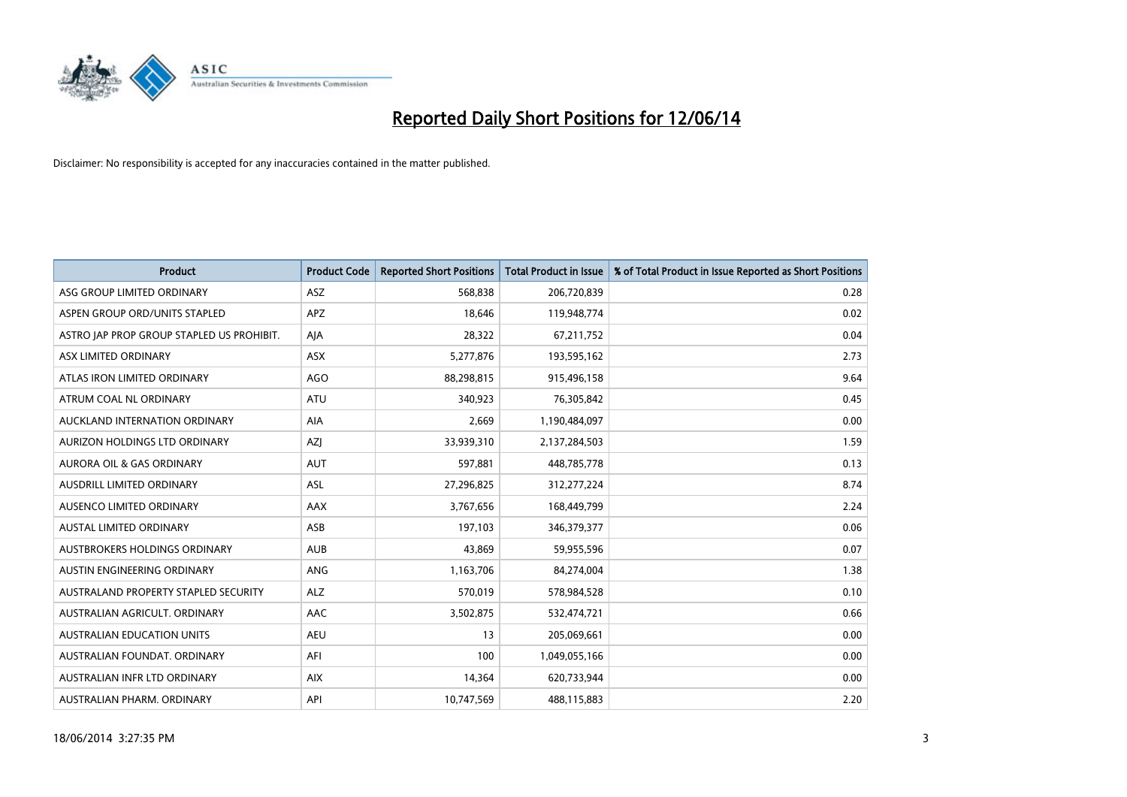

| <b>Product</b>                            | <b>Product Code</b> | <b>Reported Short Positions</b> | <b>Total Product in Issue</b> | % of Total Product in Issue Reported as Short Positions |
|-------------------------------------------|---------------------|---------------------------------|-------------------------------|---------------------------------------------------------|
| ASG GROUP LIMITED ORDINARY                | <b>ASZ</b>          | 568,838                         | 206,720,839                   | 0.28                                                    |
| ASPEN GROUP ORD/UNITS STAPLED             | <b>APZ</b>          | 18,646                          | 119,948,774                   | 0.02                                                    |
| ASTRO JAP PROP GROUP STAPLED US PROHIBIT. | AJA                 | 28,322                          | 67,211,752                    | 0.04                                                    |
| ASX LIMITED ORDINARY                      | ASX                 | 5,277,876                       | 193,595,162                   | 2.73                                                    |
| ATLAS IRON LIMITED ORDINARY               | <b>AGO</b>          | 88,298,815                      | 915,496,158                   | 9.64                                                    |
| ATRUM COAL NL ORDINARY                    | <b>ATU</b>          | 340,923                         | 76,305,842                    | 0.45                                                    |
| AUCKLAND INTERNATION ORDINARY             | AIA                 | 2,669                           | 1,190,484,097                 | 0.00                                                    |
| AURIZON HOLDINGS LTD ORDINARY             | AZJ                 | 33,939,310                      | 2,137,284,503                 | 1.59                                                    |
| <b>AURORA OIL &amp; GAS ORDINARY</b>      | <b>AUT</b>          | 597,881                         | 448,785,778                   | 0.13                                                    |
| AUSDRILL LIMITED ORDINARY                 | ASL                 | 27,296,825                      | 312,277,224                   | 8.74                                                    |
| AUSENCO LIMITED ORDINARY                  | AAX                 | 3,767,656                       | 168,449,799                   | 2.24                                                    |
| <b>AUSTAL LIMITED ORDINARY</b>            | ASB                 | 197,103                         | 346, 379, 377                 | 0.06                                                    |
| AUSTBROKERS HOLDINGS ORDINARY             | <b>AUB</b>          | 43,869                          | 59,955,596                    | 0.07                                                    |
| AUSTIN ENGINEERING ORDINARY               | ANG                 | 1,163,706                       | 84,274,004                    | 1.38                                                    |
| AUSTRALAND PROPERTY STAPLED SECURITY      | <b>ALZ</b>          | 570,019                         | 578,984,528                   | 0.10                                                    |
| AUSTRALIAN AGRICULT. ORDINARY             | AAC                 | 3,502,875                       | 532,474,721                   | 0.66                                                    |
| <b>AUSTRALIAN EDUCATION UNITS</b>         | <b>AEU</b>          | 13                              | 205,069,661                   | 0.00                                                    |
| AUSTRALIAN FOUNDAT, ORDINARY              | AFI                 | 100                             | 1,049,055,166                 | 0.00                                                    |
| AUSTRALIAN INFR LTD ORDINARY              | <b>AIX</b>          | 14,364                          | 620,733,944                   | 0.00                                                    |
| AUSTRALIAN PHARM. ORDINARY                | API                 | 10,747,569                      | 488,115,883                   | 2.20                                                    |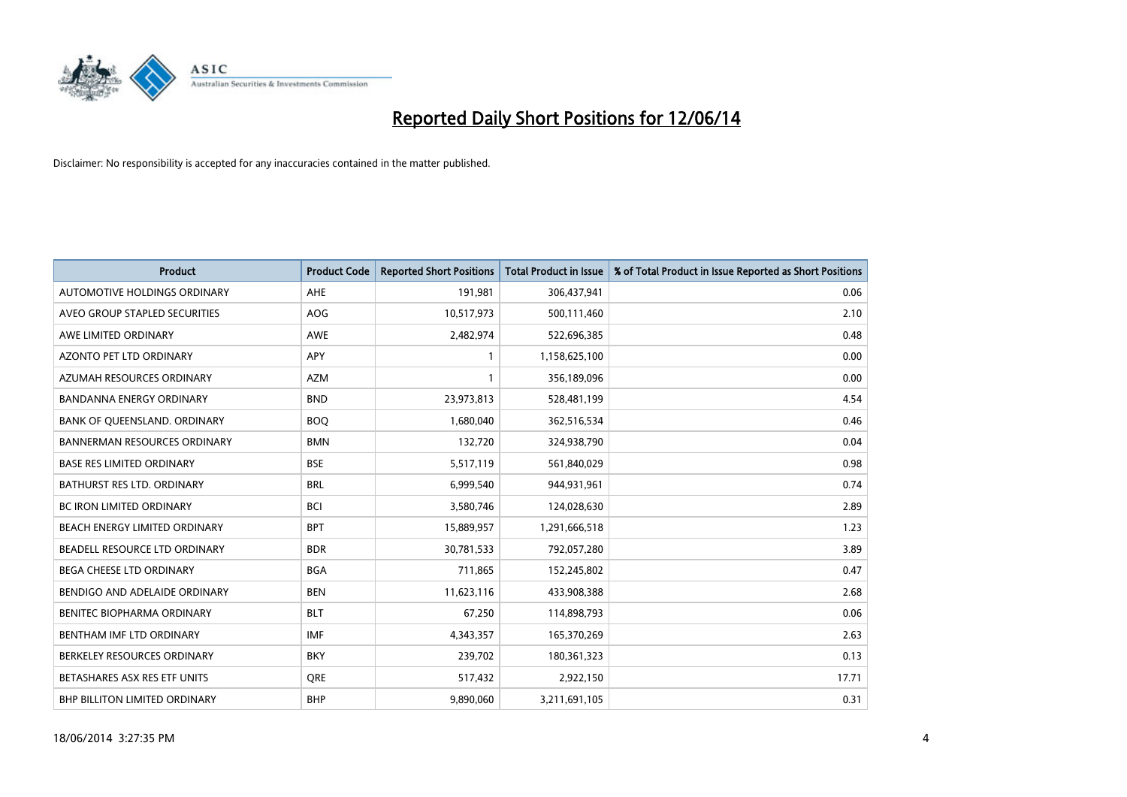

| <b>Product</b>                      | <b>Product Code</b> | <b>Reported Short Positions</b> | <b>Total Product in Issue</b> | % of Total Product in Issue Reported as Short Positions |
|-------------------------------------|---------------------|---------------------------------|-------------------------------|---------------------------------------------------------|
| AUTOMOTIVE HOLDINGS ORDINARY        | AHE                 | 191,981                         | 306,437,941                   | 0.06                                                    |
| AVEO GROUP STAPLED SECURITIES       | AOG                 | 10,517,973                      | 500,111,460                   | 2.10                                                    |
| AWE LIMITED ORDINARY                | <b>AWE</b>          | 2,482,974                       | 522,696,385                   | 0.48                                                    |
| AZONTO PET LTD ORDINARY             | APY                 | 1                               | 1,158,625,100                 | 0.00                                                    |
| AZUMAH RESOURCES ORDINARY           | AZM                 | 1                               | 356,189,096                   | 0.00                                                    |
| <b>BANDANNA ENERGY ORDINARY</b>     | <b>BND</b>          | 23,973,813                      | 528,481,199                   | 4.54                                                    |
| BANK OF QUEENSLAND. ORDINARY        | <b>BOO</b>          | 1,680,040                       | 362,516,534                   | 0.46                                                    |
| <b>BANNERMAN RESOURCES ORDINARY</b> | <b>BMN</b>          | 132,720                         | 324,938,790                   | 0.04                                                    |
| <b>BASE RES LIMITED ORDINARY</b>    | <b>BSE</b>          | 5,517,119                       | 561,840,029                   | 0.98                                                    |
| <b>BATHURST RES LTD. ORDINARY</b>   | <b>BRL</b>          | 6,999,540                       | 944,931,961                   | 0.74                                                    |
| BC IRON LIMITED ORDINARY            | <b>BCI</b>          | 3,580,746                       | 124,028,630                   | 2.89                                                    |
| BEACH ENERGY LIMITED ORDINARY       | <b>BPT</b>          | 15,889,957                      | 1,291,666,518                 | 1.23                                                    |
| BEADELL RESOURCE LTD ORDINARY       | <b>BDR</b>          | 30,781,533                      | 792,057,280                   | 3.89                                                    |
| <b>BEGA CHEESE LTD ORDINARY</b>     | <b>BGA</b>          | 711,865                         | 152,245,802                   | 0.47                                                    |
| BENDIGO AND ADELAIDE ORDINARY       | <b>BEN</b>          | 11,623,116                      | 433,908,388                   | 2.68                                                    |
| BENITEC BIOPHARMA ORDINARY          | <b>BLT</b>          | 67,250                          | 114,898,793                   | 0.06                                                    |
| BENTHAM IMF LTD ORDINARY            | <b>IMF</b>          | 4,343,357                       | 165,370,269                   | 2.63                                                    |
| BERKELEY RESOURCES ORDINARY         | <b>BKY</b>          | 239,702                         | 180,361,323                   | 0.13                                                    |
| BETASHARES ASX RES ETF UNITS        | <b>ORE</b>          | 517,432                         | 2,922,150                     | 17.71                                                   |
| BHP BILLITON LIMITED ORDINARY       | <b>BHP</b>          | 9,890,060                       | 3,211,691,105                 | 0.31                                                    |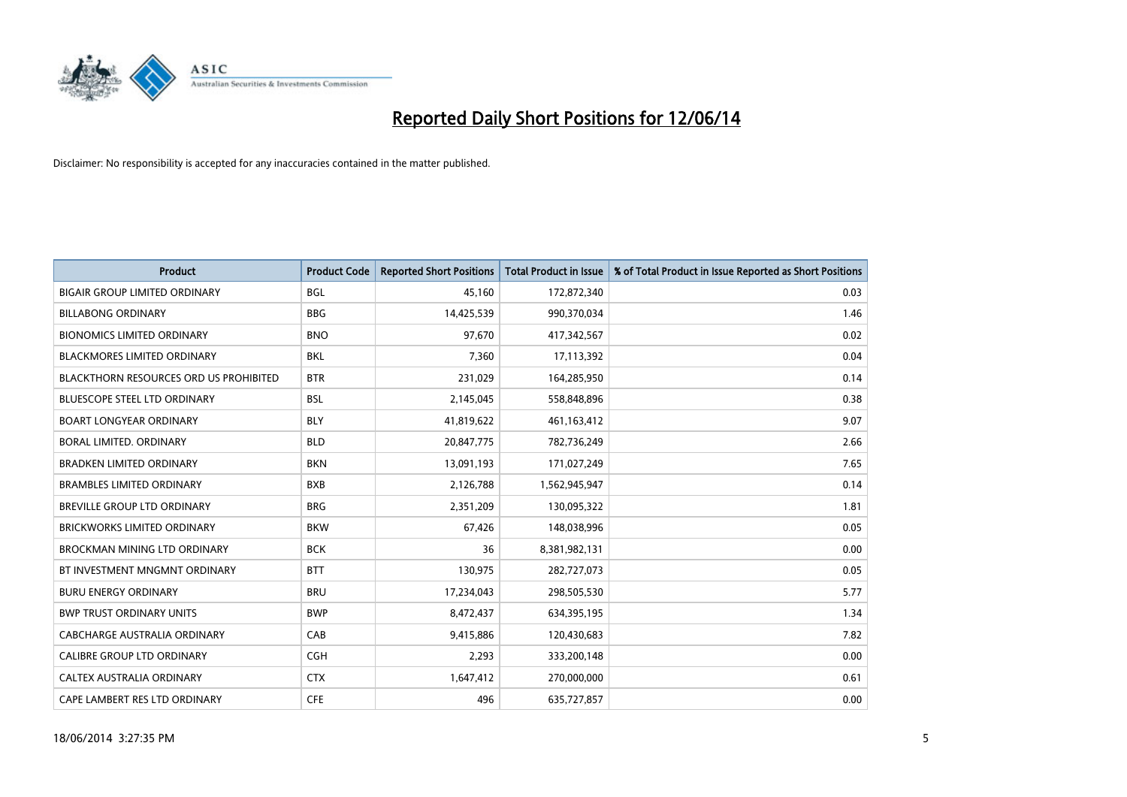

| <b>Product</b>                                | <b>Product Code</b> | <b>Reported Short Positions</b> | <b>Total Product in Issue</b> | % of Total Product in Issue Reported as Short Positions |
|-----------------------------------------------|---------------------|---------------------------------|-------------------------------|---------------------------------------------------------|
| <b>BIGAIR GROUP LIMITED ORDINARY</b>          | <b>BGL</b>          | 45,160                          | 172,872,340                   | 0.03                                                    |
| <b>BILLABONG ORDINARY</b>                     | <b>BBG</b>          | 14,425,539                      | 990,370,034                   | 1.46                                                    |
| <b>BIONOMICS LIMITED ORDINARY</b>             | <b>BNO</b>          | 97,670                          | 417,342,567                   | 0.02                                                    |
| <b>BLACKMORES LIMITED ORDINARY</b>            | <b>BKL</b>          | 7,360                           | 17,113,392                    | 0.04                                                    |
| <b>BLACKTHORN RESOURCES ORD US PROHIBITED</b> | <b>BTR</b>          | 231,029                         | 164,285,950                   | 0.14                                                    |
| <b>BLUESCOPE STEEL LTD ORDINARY</b>           | <b>BSL</b>          | 2,145,045                       | 558,848,896                   | 0.38                                                    |
| <b>BOART LONGYEAR ORDINARY</b>                | <b>BLY</b>          | 41,819,622                      | 461,163,412                   | 9.07                                                    |
| BORAL LIMITED. ORDINARY                       | <b>BLD</b>          | 20,847,775                      | 782,736,249                   | 2.66                                                    |
| <b>BRADKEN LIMITED ORDINARY</b>               | <b>BKN</b>          | 13,091,193                      | 171,027,249                   | 7.65                                                    |
| <b>BRAMBLES LIMITED ORDINARY</b>              | <b>BXB</b>          | 2,126,788                       | 1,562,945,947                 | 0.14                                                    |
| BREVILLE GROUP LTD ORDINARY                   | <b>BRG</b>          | 2,351,209                       | 130,095,322                   | 1.81                                                    |
| <b>BRICKWORKS LIMITED ORDINARY</b>            | <b>BKW</b>          | 67,426                          | 148,038,996                   | 0.05                                                    |
| <b>BROCKMAN MINING LTD ORDINARY</b>           | <b>BCK</b>          | 36                              | 8,381,982,131                 | 0.00                                                    |
| BT INVESTMENT MNGMNT ORDINARY                 | <b>BTT</b>          | 130,975                         | 282,727,073                   | 0.05                                                    |
| <b>BURU ENERGY ORDINARY</b>                   | <b>BRU</b>          | 17,234,043                      | 298,505,530                   | 5.77                                                    |
| <b>BWP TRUST ORDINARY UNITS</b>               | <b>BWP</b>          | 8,472,437                       | 634,395,195                   | 1.34                                                    |
| CABCHARGE AUSTRALIA ORDINARY                  | CAB                 | 9,415,886                       | 120,430,683                   | 7.82                                                    |
| CALIBRE GROUP LTD ORDINARY                    | <b>CGH</b>          | 2,293                           | 333,200,148                   | 0.00                                                    |
| CALTEX AUSTRALIA ORDINARY                     | <b>CTX</b>          | 1,647,412                       | 270,000,000                   | 0.61                                                    |
| CAPE LAMBERT RES LTD ORDINARY                 | <b>CFE</b>          | 496                             | 635,727,857                   | 0.00                                                    |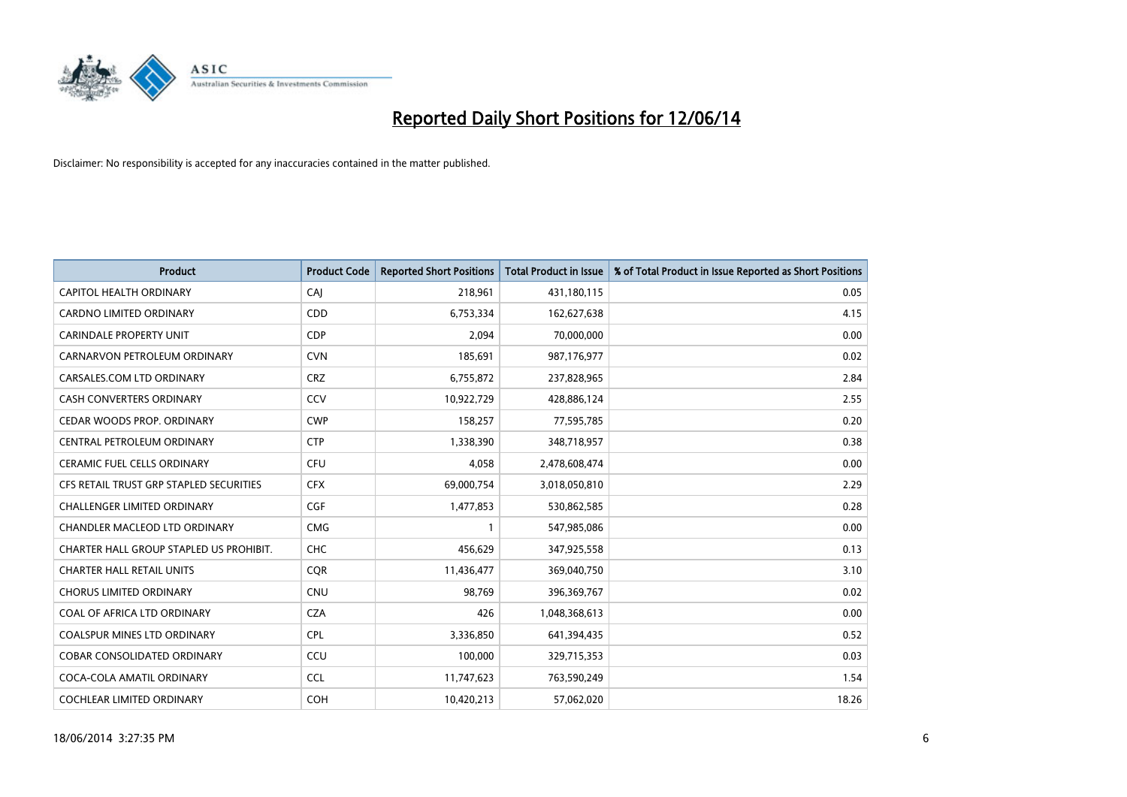

| <b>Product</b>                          | <b>Product Code</b> | <b>Reported Short Positions</b> | <b>Total Product in Issue</b> | % of Total Product in Issue Reported as Short Positions |
|-----------------------------------------|---------------------|---------------------------------|-------------------------------|---------------------------------------------------------|
| CAPITOL HEALTH ORDINARY                 | CAJ                 | 218,961                         | 431,180,115                   | 0.05                                                    |
| CARDNO LIMITED ORDINARY                 | <b>CDD</b>          | 6,753,334                       | 162,627,638                   | 4.15                                                    |
| CARINDALE PROPERTY UNIT                 | <b>CDP</b>          | 2,094                           | 70,000,000                    | 0.00                                                    |
| CARNARVON PETROLEUM ORDINARY            | <b>CVN</b>          | 185,691                         | 987,176,977                   | 0.02                                                    |
| CARSALES.COM LTD ORDINARY               | <b>CRZ</b>          | 6,755,872                       | 237,828,965                   | 2.84                                                    |
| <b>CASH CONVERTERS ORDINARY</b>         | CCV                 | 10,922,729                      | 428,886,124                   | 2.55                                                    |
| CEDAR WOODS PROP. ORDINARY              | <b>CWP</b>          | 158,257                         | 77,595,785                    | 0.20                                                    |
| CENTRAL PETROLEUM ORDINARY              | <b>CTP</b>          | 1,338,390                       | 348,718,957                   | 0.38                                                    |
| <b>CERAMIC FUEL CELLS ORDINARY</b>      | <b>CFU</b>          | 4,058                           | 2,478,608,474                 | 0.00                                                    |
| CFS RETAIL TRUST GRP STAPLED SECURITIES | <b>CFX</b>          | 69,000,754                      | 3,018,050,810                 | 2.29                                                    |
| CHALLENGER LIMITED ORDINARY             | <b>CGF</b>          | 1,477,853                       | 530,862,585                   | 0.28                                                    |
| CHANDLER MACLEOD LTD ORDINARY           | <b>CMG</b>          | 1                               | 547,985,086                   | 0.00                                                    |
| CHARTER HALL GROUP STAPLED US PROHIBIT. | <b>CHC</b>          | 456.629                         | 347,925,558                   | 0.13                                                    |
| <b>CHARTER HALL RETAIL UNITS</b>        | <b>COR</b>          | 11,436,477                      | 369,040,750                   | 3.10                                                    |
| <b>CHORUS LIMITED ORDINARY</b>          | <b>CNU</b>          | 98,769                          | 396,369,767                   | 0.02                                                    |
| COAL OF AFRICA LTD ORDINARY             | <b>CZA</b>          | 426                             | 1,048,368,613                 | 0.00                                                    |
| COALSPUR MINES LTD ORDINARY             | <b>CPL</b>          | 3,336,850                       | 641,394,435                   | 0.52                                                    |
| COBAR CONSOLIDATED ORDINARY             | CCU                 | 100,000                         | 329,715,353                   | 0.03                                                    |
| COCA-COLA AMATIL ORDINARY               | <b>CCL</b>          | 11,747,623                      | 763,590,249                   | 1.54                                                    |
| <b>COCHLEAR LIMITED ORDINARY</b>        | <b>COH</b>          | 10,420,213                      | 57,062,020                    | 18.26                                                   |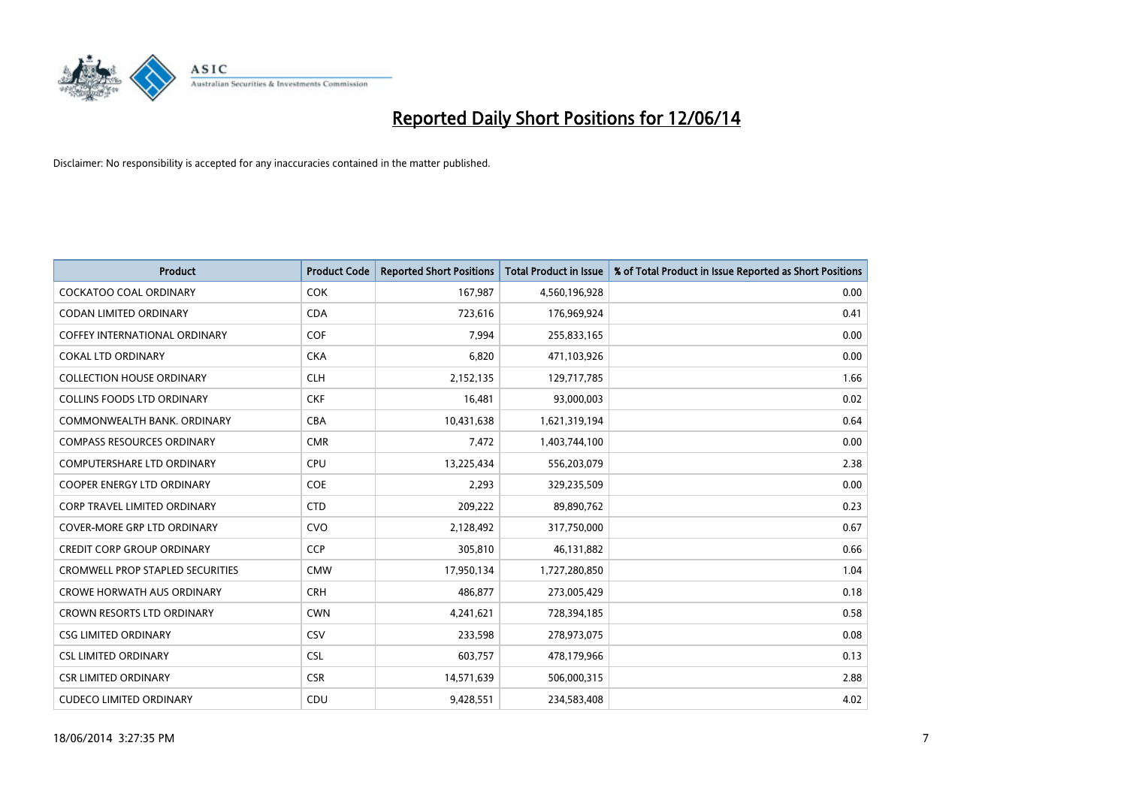

| <b>Product</b>                          | <b>Product Code</b> | <b>Reported Short Positions</b> | <b>Total Product in Issue</b> | % of Total Product in Issue Reported as Short Positions |
|-----------------------------------------|---------------------|---------------------------------|-------------------------------|---------------------------------------------------------|
| <b>COCKATOO COAL ORDINARY</b>           | <b>COK</b>          | 167,987                         | 4,560,196,928                 | 0.00                                                    |
| CODAN LIMITED ORDINARY                  | <b>CDA</b>          | 723,616                         | 176,969,924                   | 0.41                                                    |
| <b>COFFEY INTERNATIONAL ORDINARY</b>    | <b>COF</b>          | 7,994                           | 255,833,165                   | 0.00                                                    |
| <b>COKAL LTD ORDINARY</b>               | <b>CKA</b>          | 6,820                           | 471,103,926                   | 0.00                                                    |
| <b>COLLECTION HOUSE ORDINARY</b>        | <b>CLH</b>          | 2,152,135                       | 129,717,785                   | 1.66                                                    |
| <b>COLLINS FOODS LTD ORDINARY</b>       | <b>CKF</b>          | 16,481                          | 93,000,003                    | 0.02                                                    |
| COMMONWEALTH BANK, ORDINARY             | <b>CBA</b>          | 10,431,638                      | 1,621,319,194                 | 0.64                                                    |
| <b>COMPASS RESOURCES ORDINARY</b>       | <b>CMR</b>          | 7,472                           | 1,403,744,100                 | 0.00                                                    |
| COMPUTERSHARE LTD ORDINARY              | <b>CPU</b>          | 13,225,434                      | 556,203,079                   | 2.38                                                    |
| <b>COOPER ENERGY LTD ORDINARY</b>       | <b>COE</b>          | 2,293                           | 329,235,509                   | 0.00                                                    |
| <b>CORP TRAVEL LIMITED ORDINARY</b>     | <b>CTD</b>          | 209,222                         | 89,890,762                    | 0.23                                                    |
| <b>COVER-MORE GRP LTD ORDINARY</b>      | <b>CVO</b>          | 2,128,492                       | 317,750,000                   | 0.67                                                    |
| <b>CREDIT CORP GROUP ORDINARY</b>       | <b>CCP</b>          | 305,810                         | 46,131,882                    | 0.66                                                    |
| <b>CROMWELL PROP STAPLED SECURITIES</b> | <b>CMW</b>          | 17,950,134                      | 1,727,280,850                 | 1.04                                                    |
| <b>CROWE HORWATH AUS ORDINARY</b>       | <b>CRH</b>          | 486,877                         | 273,005,429                   | 0.18                                                    |
| CROWN RESORTS LTD ORDINARY              | <b>CWN</b>          | 4,241,621                       | 728,394,185                   | 0.58                                                    |
| <b>CSG LIMITED ORDINARY</b>             | CSV                 | 233,598                         | 278,973,075                   | 0.08                                                    |
| <b>CSL LIMITED ORDINARY</b>             | <b>CSL</b>          | 603,757                         | 478,179,966                   | 0.13                                                    |
| <b>CSR LIMITED ORDINARY</b>             | <b>CSR</b>          | 14,571,639                      | 506,000,315                   | 2.88                                                    |
| <b>CUDECO LIMITED ORDINARY</b>          | CDU                 | 9,428,551                       | 234,583,408                   | 4.02                                                    |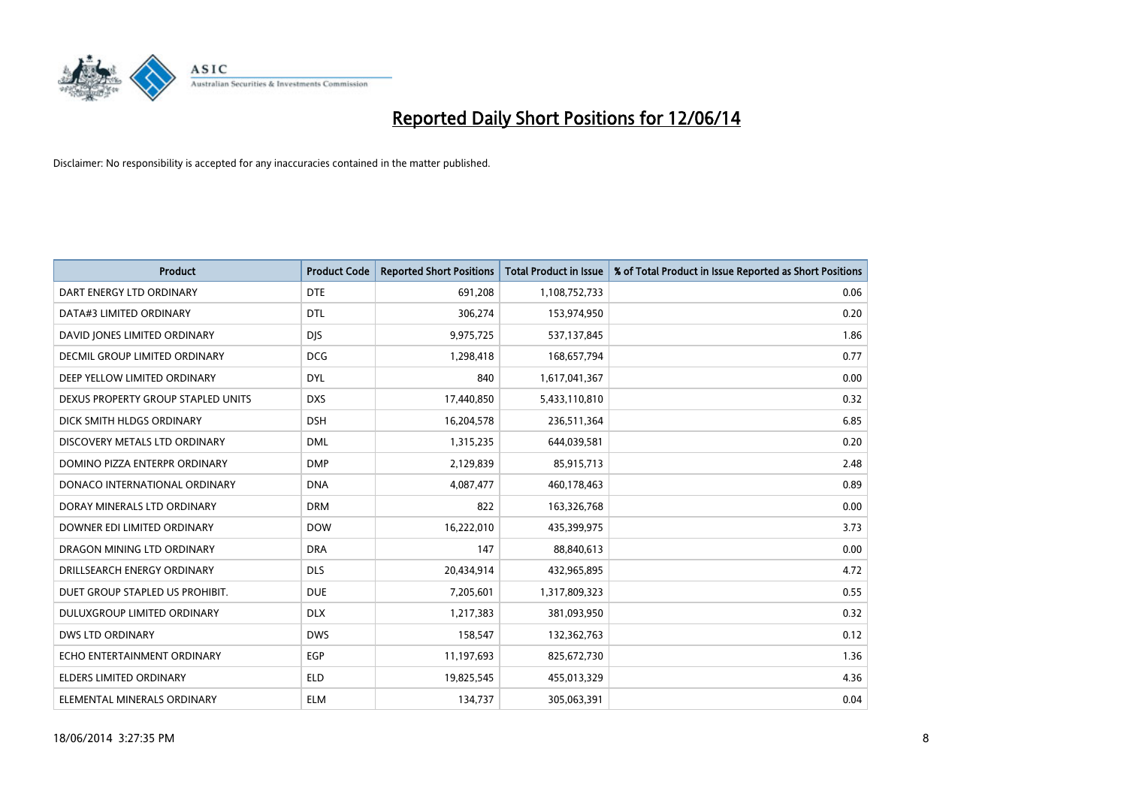

| <b>Product</b>                       | <b>Product Code</b> | <b>Reported Short Positions</b> | <b>Total Product in Issue</b> | % of Total Product in Issue Reported as Short Positions |
|--------------------------------------|---------------------|---------------------------------|-------------------------------|---------------------------------------------------------|
| DART ENERGY LTD ORDINARY             | <b>DTE</b>          | 691,208                         | 1,108,752,733                 | 0.06                                                    |
| DATA#3 LIMITED ORDINARY              | <b>DTL</b>          | 306,274                         | 153,974,950                   | 0.20                                                    |
| DAVID JONES LIMITED ORDINARY         | <b>DJS</b>          | 9,975,725                       | 537,137,845                   | 1.86                                                    |
| <b>DECMIL GROUP LIMITED ORDINARY</b> | <b>DCG</b>          | 1,298,418                       | 168,657,794                   | 0.77                                                    |
| DEEP YELLOW LIMITED ORDINARY         | <b>DYL</b>          | 840                             | 1,617,041,367                 | 0.00                                                    |
| DEXUS PROPERTY GROUP STAPLED UNITS   | <b>DXS</b>          | 17,440,850                      | 5,433,110,810                 | 0.32                                                    |
| DICK SMITH HLDGS ORDINARY            | <b>DSH</b>          | 16,204,578                      | 236,511,364                   | 6.85                                                    |
| DISCOVERY METALS LTD ORDINARY        | <b>DML</b>          | 1,315,235                       | 644,039,581                   | 0.20                                                    |
| DOMINO PIZZA ENTERPR ORDINARY        | <b>DMP</b>          | 2,129,839                       | 85,915,713                    | 2.48                                                    |
| DONACO INTERNATIONAL ORDINARY        | <b>DNA</b>          | 4,087,477                       | 460,178,463                   | 0.89                                                    |
| DORAY MINERALS LTD ORDINARY          | <b>DRM</b>          | 822                             | 163,326,768                   | 0.00                                                    |
| DOWNER EDI LIMITED ORDINARY          | <b>DOW</b>          | 16,222,010                      | 435,399,975                   | 3.73                                                    |
| DRAGON MINING LTD ORDINARY           | <b>DRA</b>          | 147                             | 88,840,613                    | 0.00                                                    |
| DRILLSEARCH ENERGY ORDINARY          | <b>DLS</b>          | 20,434,914                      | 432,965,895                   | 4.72                                                    |
| DUET GROUP STAPLED US PROHIBIT.      | <b>DUE</b>          | 7,205,601                       | 1,317,809,323                 | 0.55                                                    |
| DULUXGROUP LIMITED ORDINARY          | <b>DLX</b>          | 1,217,383                       | 381,093,950                   | 0.32                                                    |
| <b>DWS LTD ORDINARY</b>              | <b>DWS</b>          | 158,547                         | 132,362,763                   | 0.12                                                    |
| ECHO ENTERTAINMENT ORDINARY          | <b>EGP</b>          | 11,197,693                      | 825,672,730                   | 1.36                                                    |
| <b>ELDERS LIMITED ORDINARY</b>       | <b>ELD</b>          | 19,825,545                      | 455,013,329                   | 4.36                                                    |
| ELEMENTAL MINERALS ORDINARY          | ELM                 | 134,737                         | 305,063,391                   | 0.04                                                    |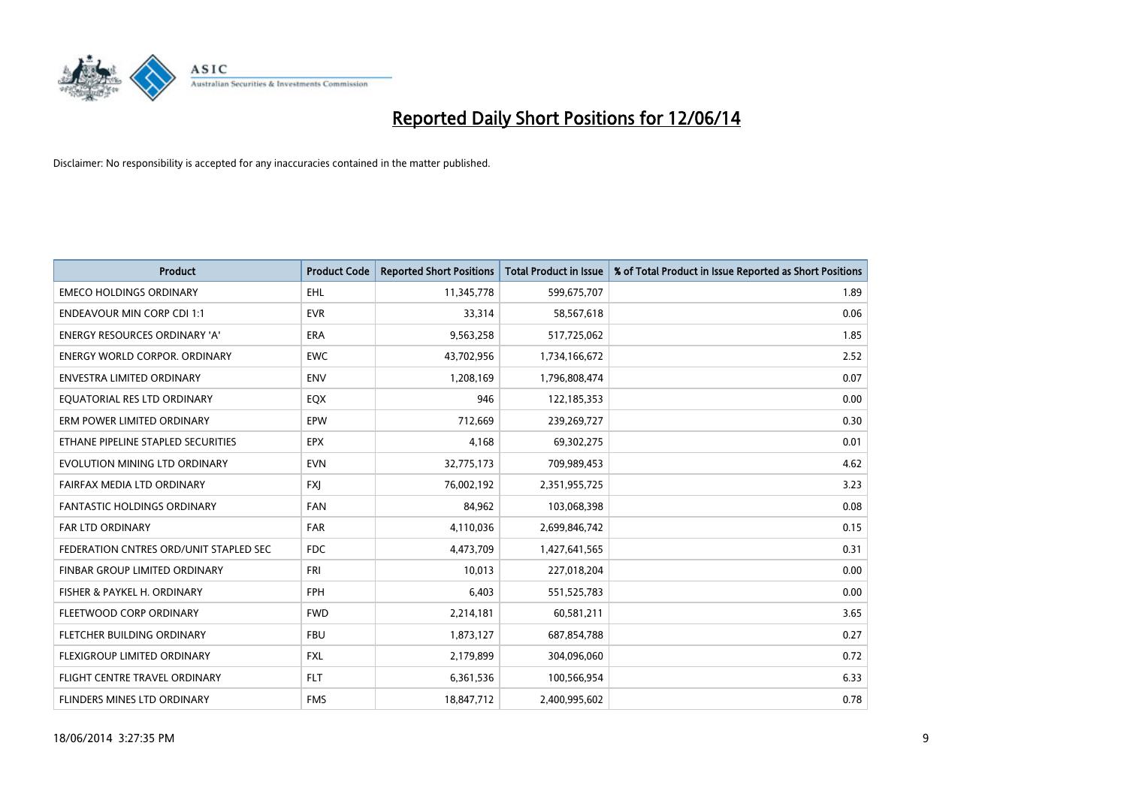

| <b>Product</b>                         | <b>Product Code</b> | <b>Reported Short Positions</b> | <b>Total Product in Issue</b> | % of Total Product in Issue Reported as Short Positions |
|----------------------------------------|---------------------|---------------------------------|-------------------------------|---------------------------------------------------------|
| <b>EMECO HOLDINGS ORDINARY</b>         | <b>EHL</b>          | 11,345,778                      | 599,675,707                   | 1.89                                                    |
| <b>ENDEAVOUR MIN CORP CDI 1:1</b>      | <b>EVR</b>          | 33,314                          | 58,567,618                    | 0.06                                                    |
| <b>ENERGY RESOURCES ORDINARY 'A'</b>   | <b>ERA</b>          | 9,563,258                       | 517,725,062                   | 1.85                                                    |
| <b>ENERGY WORLD CORPOR, ORDINARY</b>   | <b>EWC</b>          | 43,702,956                      | 1,734,166,672                 | 2.52                                                    |
| <b>ENVESTRA LIMITED ORDINARY</b>       | <b>ENV</b>          | 1,208,169                       | 1,796,808,474                 | 0.07                                                    |
| EQUATORIAL RES LTD ORDINARY            | EQX                 | 946                             | 122,185,353                   | 0.00                                                    |
| ERM POWER LIMITED ORDINARY             | EPW                 | 712,669                         | 239,269,727                   | 0.30                                                    |
| ETHANE PIPELINE STAPLED SECURITIES     | <b>EPX</b>          | 4,168                           | 69,302,275                    | 0.01                                                    |
| EVOLUTION MINING LTD ORDINARY          | <b>EVN</b>          | 32,775,173                      | 709,989,453                   | 4.62                                                    |
| FAIRFAX MEDIA LTD ORDINARY             | <b>FXJ</b>          | 76,002,192                      | 2,351,955,725                 | 3.23                                                    |
| FANTASTIC HOLDINGS ORDINARY            | <b>FAN</b>          | 84,962                          | 103,068,398                   | 0.08                                                    |
| <b>FAR LTD ORDINARY</b>                | FAR                 | 4,110,036                       | 2,699,846,742                 | 0.15                                                    |
| FEDERATION CNTRES ORD/UNIT STAPLED SEC | <b>FDC</b>          | 4,473,709                       | 1,427,641,565                 | 0.31                                                    |
| FINBAR GROUP LIMITED ORDINARY          | <b>FRI</b>          | 10,013                          | 227,018,204                   | 0.00                                                    |
| FISHER & PAYKEL H. ORDINARY            | <b>FPH</b>          | 6,403                           | 551,525,783                   | 0.00                                                    |
| FLEETWOOD CORP ORDINARY                | <b>FWD</b>          | 2,214,181                       | 60,581,211                    | 3.65                                                    |
| FLETCHER BUILDING ORDINARY             | <b>FBU</b>          | 1,873,127                       | 687,854,788                   | 0.27                                                    |
| FLEXIGROUP LIMITED ORDINARY            | <b>FXL</b>          | 2,179,899                       | 304,096,060                   | 0.72                                                    |
| FLIGHT CENTRE TRAVEL ORDINARY          | <b>FLT</b>          | 6,361,536                       | 100,566,954                   | 6.33                                                    |
| FLINDERS MINES LTD ORDINARY            | <b>FMS</b>          | 18,847,712                      | 2,400,995,602                 | 0.78                                                    |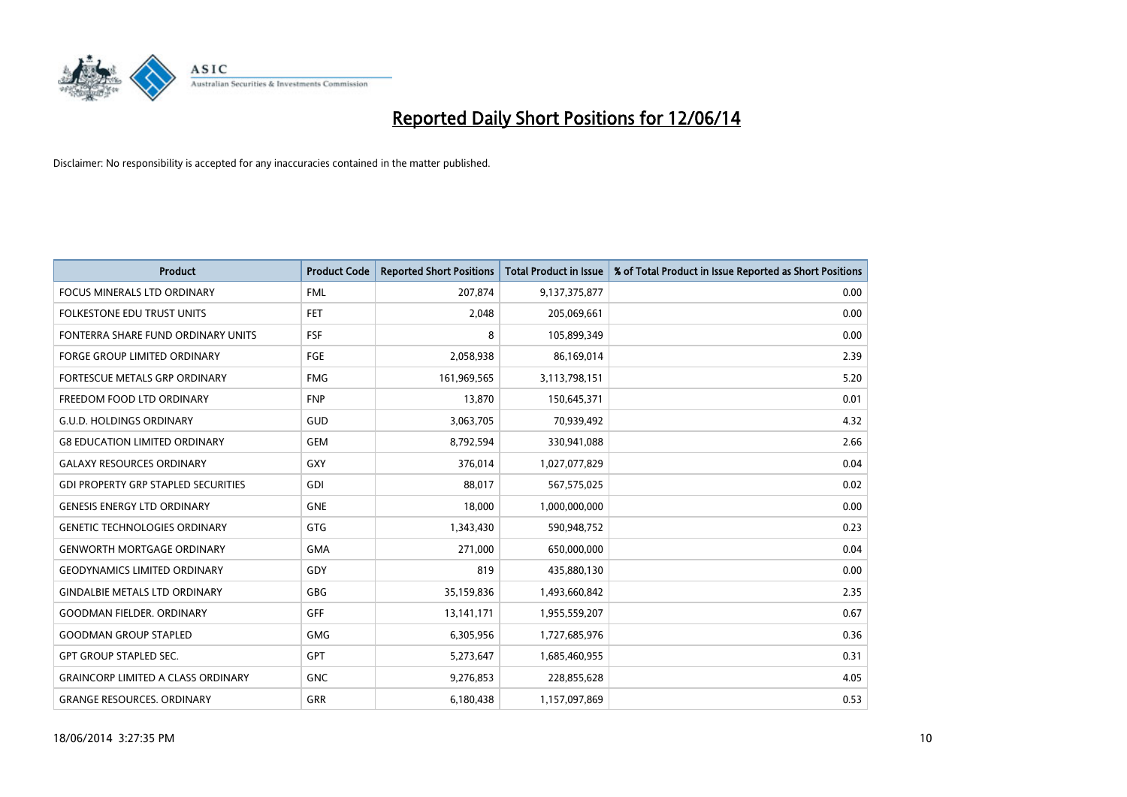

| <b>Product</b>                             | <b>Product Code</b> | <b>Reported Short Positions</b> | <b>Total Product in Issue</b> | % of Total Product in Issue Reported as Short Positions |
|--------------------------------------------|---------------------|---------------------------------|-------------------------------|---------------------------------------------------------|
| <b>FOCUS MINERALS LTD ORDINARY</b>         | <b>FML</b>          | 207,874                         | 9,137,375,877                 | 0.00                                                    |
| FOLKESTONE EDU TRUST UNITS                 | FET                 | 2,048                           | 205,069,661                   | 0.00                                                    |
| FONTERRA SHARE FUND ORDINARY UNITS         | <b>FSF</b>          | 8                               | 105,899,349                   | 0.00                                                    |
| <b>FORGE GROUP LIMITED ORDINARY</b>        | FGE                 | 2,058,938                       | 86,169,014                    | 2.39                                                    |
| <b>FORTESCUE METALS GRP ORDINARY</b>       | <b>FMG</b>          | 161,969,565                     | 3,113,798,151                 | 5.20                                                    |
| FREEDOM FOOD LTD ORDINARY                  | <b>FNP</b>          | 13,870                          | 150,645,371                   | 0.01                                                    |
| <b>G.U.D. HOLDINGS ORDINARY</b>            | <b>GUD</b>          | 3,063,705                       | 70,939,492                    | 4.32                                                    |
| <b>G8 EDUCATION LIMITED ORDINARY</b>       | <b>GEM</b>          | 8,792,594                       | 330,941,088                   | 2.66                                                    |
| <b>GALAXY RESOURCES ORDINARY</b>           | GXY                 | 376,014                         | 1,027,077,829                 | 0.04                                                    |
| <b>GDI PROPERTY GRP STAPLED SECURITIES</b> | GDI                 | 88,017                          | 567,575,025                   | 0.02                                                    |
| <b>GENESIS ENERGY LTD ORDINARY</b>         | <b>GNE</b>          | 18,000                          | 1,000,000,000                 | 0.00                                                    |
| <b>GENETIC TECHNOLOGIES ORDINARY</b>       | <b>GTG</b>          | 1,343,430                       | 590,948,752                   | 0.23                                                    |
| <b>GENWORTH MORTGAGE ORDINARY</b>          | <b>GMA</b>          | 271,000                         | 650,000,000                   | 0.04                                                    |
| <b>GEODYNAMICS LIMITED ORDINARY</b>        | GDY                 | 819                             | 435,880,130                   | 0.00                                                    |
| <b>GINDALBIE METALS LTD ORDINARY</b>       | GBG                 | 35,159,836                      | 1,493,660,842                 | 2.35                                                    |
| <b>GOODMAN FIELDER, ORDINARY</b>           | GFF                 | 13,141,171                      | 1,955,559,207                 | 0.67                                                    |
| <b>GOODMAN GROUP STAPLED</b>               | <b>GMG</b>          | 6,305,956                       | 1,727,685,976                 | 0.36                                                    |
| <b>GPT GROUP STAPLED SEC.</b>              | <b>GPT</b>          | 5,273,647                       | 1,685,460,955                 | 0.31                                                    |
| <b>GRAINCORP LIMITED A CLASS ORDINARY</b>  | <b>GNC</b>          | 9,276,853                       | 228,855,628                   | 4.05                                                    |
| <b>GRANGE RESOURCES. ORDINARY</b>          | GRR                 | 6,180,438                       | 1,157,097,869                 | 0.53                                                    |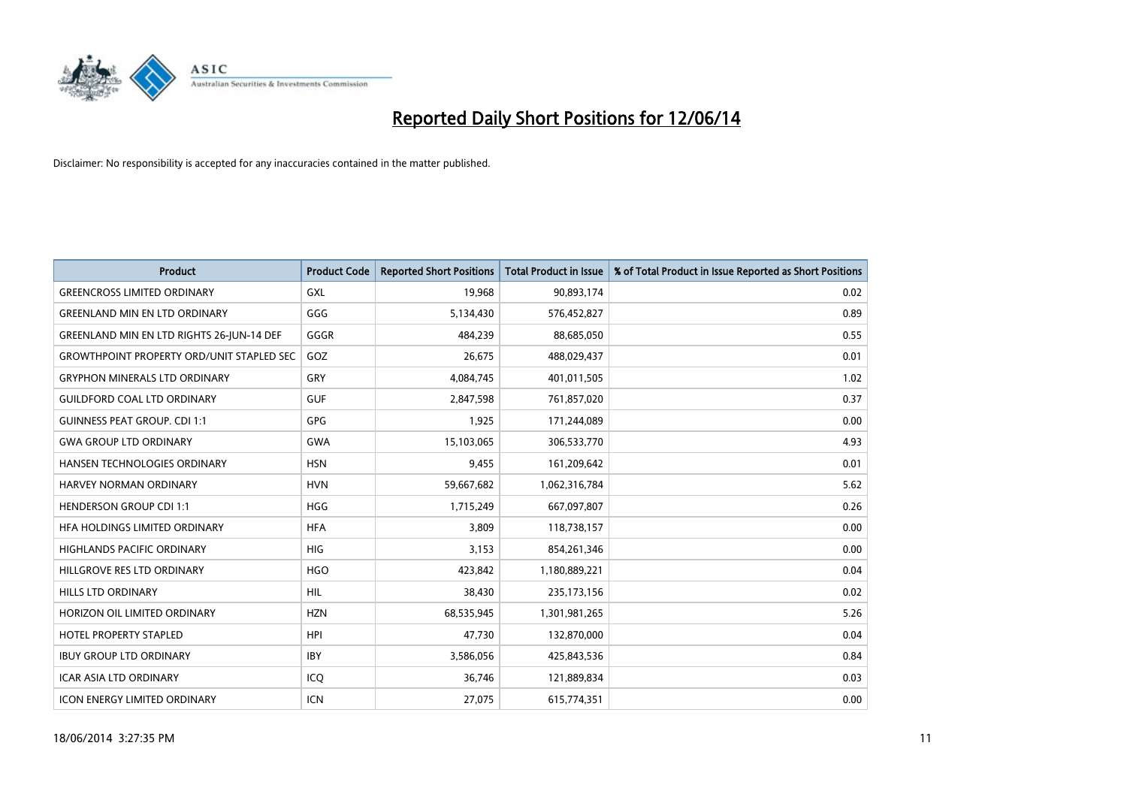

| <b>Product</b>                                   | <b>Product Code</b> | <b>Reported Short Positions</b> | <b>Total Product in Issue</b> | % of Total Product in Issue Reported as Short Positions |
|--------------------------------------------------|---------------------|---------------------------------|-------------------------------|---------------------------------------------------------|
| <b>GREENCROSS LIMITED ORDINARY</b>               | <b>GXL</b>          | 19,968                          | 90,893,174                    | 0.02                                                    |
| <b>GREENLAND MIN EN LTD ORDINARY</b>             | GGG                 | 5,134,430                       | 576,452,827                   | 0.89                                                    |
| GREENLAND MIN EN LTD RIGHTS 26-JUN-14 DEF        | GGGR                | 484,239                         | 88,685,050                    | 0.55                                                    |
| <b>GROWTHPOINT PROPERTY ORD/UNIT STAPLED SEC</b> | GOZ                 | 26,675                          | 488,029,437                   | 0.01                                                    |
| <b>GRYPHON MINERALS LTD ORDINARY</b>             | GRY                 | 4,084,745                       | 401,011,505                   | 1.02                                                    |
| <b>GUILDFORD COAL LTD ORDINARY</b>               | <b>GUF</b>          | 2,847,598                       | 761,857,020                   | 0.37                                                    |
| <b>GUINNESS PEAT GROUP. CDI 1:1</b>              | <b>GPG</b>          | 1,925                           | 171,244,089                   | 0.00                                                    |
| <b>GWA GROUP LTD ORDINARY</b>                    | <b>GWA</b>          | 15,103,065                      | 306,533,770                   | 4.93                                                    |
| HANSEN TECHNOLOGIES ORDINARY                     | <b>HSN</b>          | 9,455                           | 161,209,642                   | 0.01                                                    |
| <b>HARVEY NORMAN ORDINARY</b>                    | <b>HVN</b>          | 59,667,682                      | 1,062,316,784                 | 5.62                                                    |
| <b>HENDERSON GROUP CDI 1:1</b>                   | <b>HGG</b>          | 1,715,249                       | 667,097,807                   | 0.26                                                    |
| HFA HOLDINGS LIMITED ORDINARY                    | <b>HFA</b>          | 3,809                           | 118,738,157                   | 0.00                                                    |
| HIGHLANDS PACIFIC ORDINARY                       | <b>HIG</b>          | 3,153                           | 854,261,346                   | 0.00                                                    |
| HILLGROVE RES LTD ORDINARY                       | <b>HGO</b>          | 423,842                         | 1,180,889,221                 | 0.04                                                    |
| <b>HILLS LTD ORDINARY</b>                        | <b>HIL</b>          | 38,430                          | 235, 173, 156                 | 0.02                                                    |
| HORIZON OIL LIMITED ORDINARY                     | <b>HZN</b>          | 68,535,945                      | 1,301,981,265                 | 5.26                                                    |
| HOTEL PROPERTY STAPLED                           | <b>HPI</b>          | 47,730                          | 132,870,000                   | 0.04                                                    |
| <b>IBUY GROUP LTD ORDINARY</b>                   | <b>IBY</b>          | 3,586,056                       | 425,843,536                   | 0.84                                                    |
| <b>ICAR ASIA LTD ORDINARY</b>                    | ICQ                 | 36,746                          | 121,889,834                   | 0.03                                                    |
| <b>ICON ENERGY LIMITED ORDINARY</b>              | ICN                 | 27,075                          | 615,774,351                   | 0.00                                                    |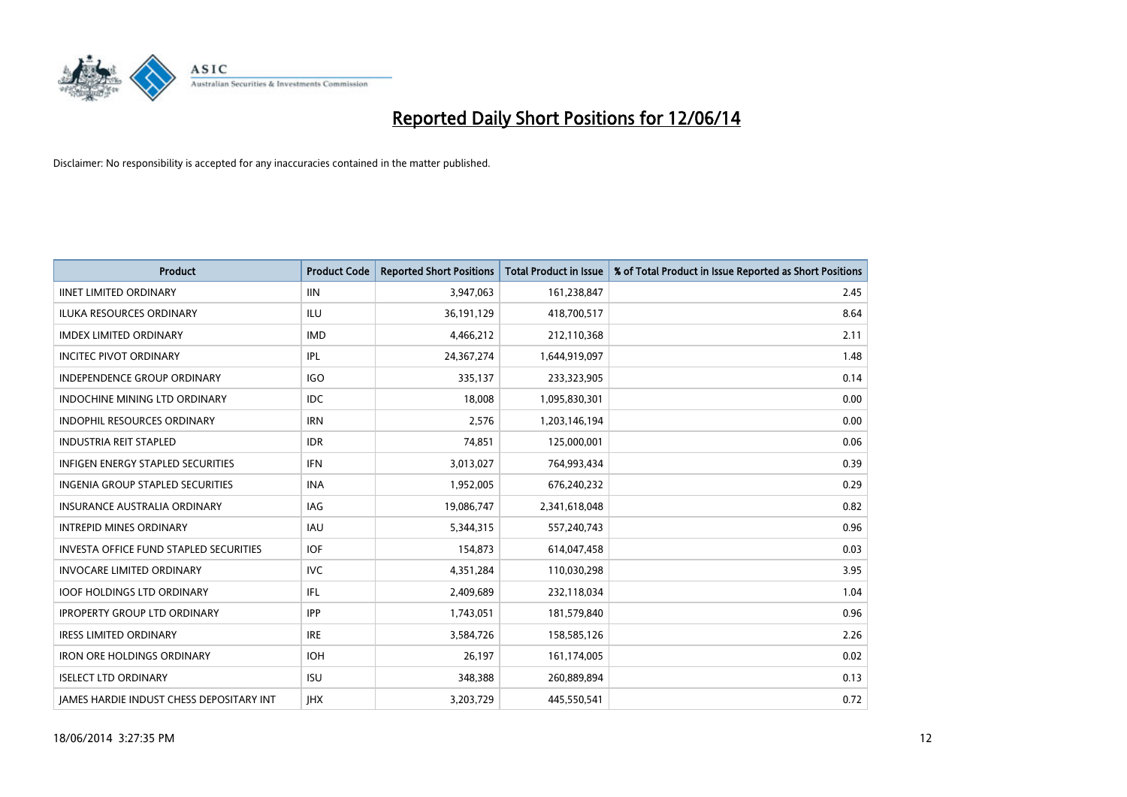

| <b>Product</b>                                  | <b>Product Code</b> | <b>Reported Short Positions</b> | <b>Total Product in Issue</b> | % of Total Product in Issue Reported as Short Positions |
|-------------------------------------------------|---------------------|---------------------------------|-------------------------------|---------------------------------------------------------|
| <b>IINET LIMITED ORDINARY</b>                   | <b>IIN</b>          | 3,947,063                       | 161,238,847                   | 2.45                                                    |
| <b>ILUKA RESOURCES ORDINARY</b>                 | <b>ILU</b>          | 36,191,129                      | 418,700,517                   | 8.64                                                    |
| <b>IMDEX LIMITED ORDINARY</b>                   | <b>IMD</b>          | 4,466,212                       | 212,110,368                   | 2.11                                                    |
| <b>INCITEC PIVOT ORDINARY</b>                   | <b>IPL</b>          | 24,367,274                      | 1,644,919,097                 | 1.48                                                    |
| <b>INDEPENDENCE GROUP ORDINARY</b>              | <b>IGO</b>          | 335,137                         | 233,323,905                   | 0.14                                                    |
| <b>INDOCHINE MINING LTD ORDINARY</b>            | <b>IDC</b>          | 18,008                          | 1,095,830,301                 | 0.00                                                    |
| <b>INDOPHIL RESOURCES ORDINARY</b>              | <b>IRN</b>          | 2,576                           | 1,203,146,194                 | 0.00                                                    |
| <b>INDUSTRIA REIT STAPLED</b>                   | <b>IDR</b>          | 74,851                          | 125,000,001                   | 0.06                                                    |
| <b>INFIGEN ENERGY STAPLED SECURITIES</b>        | <b>IFN</b>          | 3,013,027                       | 764,993,434                   | 0.39                                                    |
| INGENIA GROUP STAPLED SECURITIES                | <b>INA</b>          | 1,952,005                       | 676,240,232                   | 0.29                                                    |
| <b>INSURANCE AUSTRALIA ORDINARY</b>             | <b>IAG</b>          | 19,086,747                      | 2,341,618,048                 | 0.82                                                    |
| <b>INTREPID MINES ORDINARY</b>                  | <b>IAU</b>          | 5,344,315                       | 557,240,743                   | 0.96                                                    |
| <b>INVESTA OFFICE FUND STAPLED SECURITIES</b>   | <b>IOF</b>          | 154.873                         | 614,047,458                   | 0.03                                                    |
| <b>INVOCARE LIMITED ORDINARY</b>                | <b>IVC</b>          | 4,351,284                       | 110,030,298                   | 3.95                                                    |
| <b>IOOF HOLDINGS LTD ORDINARY</b>               | IFL                 | 2,409,689                       | 232,118,034                   | 1.04                                                    |
| <b>IPROPERTY GROUP LTD ORDINARY</b>             | <b>IPP</b>          | 1,743,051                       | 181,579,840                   | 0.96                                                    |
| <b>IRESS LIMITED ORDINARY</b>                   | <b>IRE</b>          | 3,584,726                       | 158,585,126                   | 2.26                                                    |
| <b>IRON ORE HOLDINGS ORDINARY</b>               | <b>IOH</b>          | 26,197                          | 161,174,005                   | 0.02                                                    |
| <b>ISELECT LTD ORDINARY</b>                     | <b>ISU</b>          | 348,388                         | 260,889,894                   | 0.13                                                    |
| <b>IAMES HARDIE INDUST CHESS DEPOSITARY INT</b> | <b>IHX</b>          | 3,203,729                       | 445,550,541                   | 0.72                                                    |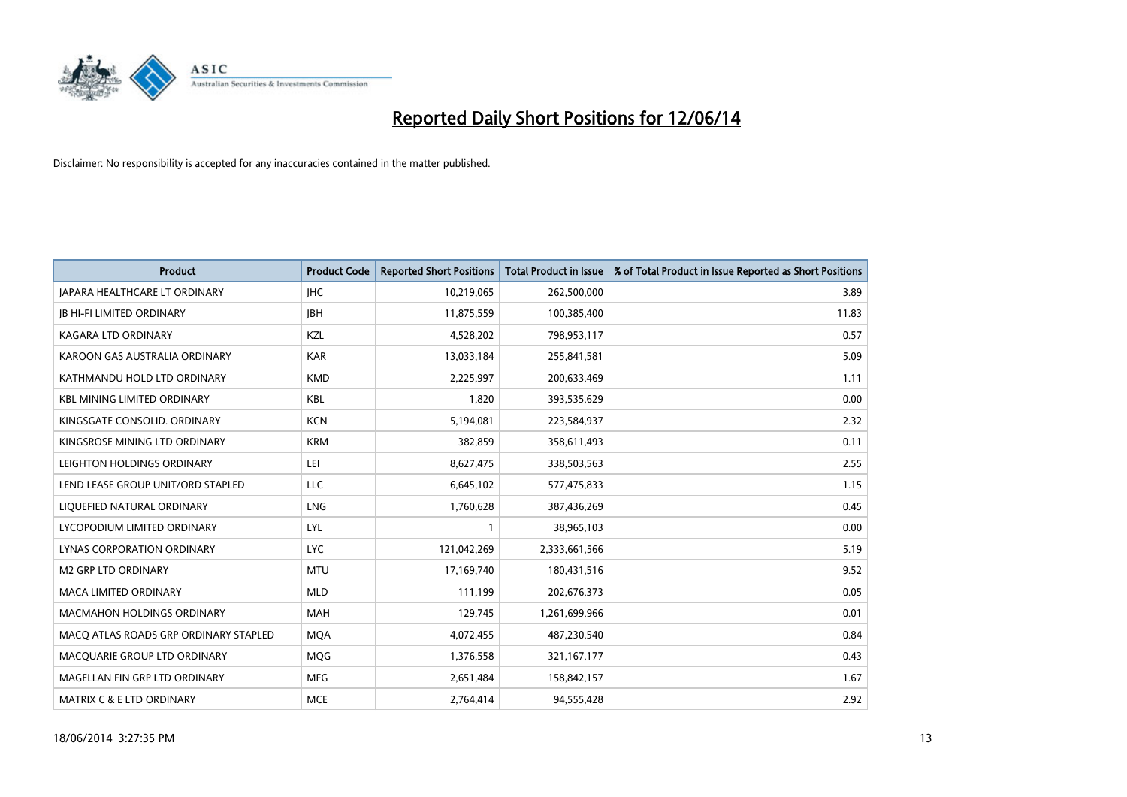

| <b>Product</b>                        | <b>Product Code</b> | <b>Reported Short Positions</b> | <b>Total Product in Issue</b> | % of Total Product in Issue Reported as Short Positions |
|---------------------------------------|---------------------|---------------------------------|-------------------------------|---------------------------------------------------------|
| <b>JAPARA HEALTHCARE LT ORDINARY</b>  | <b>IHC</b>          | 10,219,065                      | 262,500,000                   | 3.89                                                    |
| <b>JB HI-FI LIMITED ORDINARY</b>      | <b>JBH</b>          | 11,875,559                      | 100,385,400                   | 11.83                                                   |
| <b>KAGARA LTD ORDINARY</b>            | KZL                 | 4,528,202                       | 798,953,117                   | 0.57                                                    |
| KAROON GAS AUSTRALIA ORDINARY         | <b>KAR</b>          | 13,033,184                      | 255,841,581                   | 5.09                                                    |
| KATHMANDU HOLD LTD ORDINARY           | <b>KMD</b>          | 2,225,997                       | 200,633,469                   | 1.11                                                    |
| <b>KBL MINING LIMITED ORDINARY</b>    | <b>KBL</b>          | 1,820                           | 393,535,629                   | 0.00                                                    |
| KINGSGATE CONSOLID. ORDINARY          | <b>KCN</b>          | 5,194,081                       | 223,584,937                   | 2.32                                                    |
| KINGSROSE MINING LTD ORDINARY         | <b>KRM</b>          | 382,859                         | 358,611,493                   | 0.11                                                    |
| LEIGHTON HOLDINGS ORDINARY            | LEI                 | 8,627,475                       | 338,503,563                   | 2.55                                                    |
| LEND LEASE GROUP UNIT/ORD STAPLED     | LLC                 | 6,645,102                       | 577,475,833                   | 1.15                                                    |
| LIQUEFIED NATURAL ORDINARY            | LNG                 | 1,760,628                       | 387,436,269                   | 0.45                                                    |
| LYCOPODIUM LIMITED ORDINARY           | LYL                 | 1                               | 38,965,103                    | 0.00                                                    |
| LYNAS CORPORATION ORDINARY            | <b>LYC</b>          | 121,042,269                     | 2,333,661,566                 | 5.19                                                    |
| <b>M2 GRP LTD ORDINARY</b>            | <b>MTU</b>          | 17,169,740                      | 180,431,516                   | 9.52                                                    |
| <b>MACA LIMITED ORDINARY</b>          | <b>MLD</b>          | 111,199                         | 202,676,373                   | 0.05                                                    |
| MACMAHON HOLDINGS ORDINARY            | MAH                 | 129,745                         | 1,261,699,966                 | 0.01                                                    |
| MACO ATLAS ROADS GRP ORDINARY STAPLED | <b>MQA</b>          | 4,072,455                       | 487,230,540                   | 0.84                                                    |
| MACQUARIE GROUP LTD ORDINARY          | MQG                 | 1,376,558                       | 321,167,177                   | 0.43                                                    |
| MAGELLAN FIN GRP LTD ORDINARY         | <b>MFG</b>          | 2,651,484                       | 158,842,157                   | 1.67                                                    |
| <b>MATRIX C &amp; E LTD ORDINARY</b>  | <b>MCE</b>          | 2,764,414                       | 94,555,428                    | 2.92                                                    |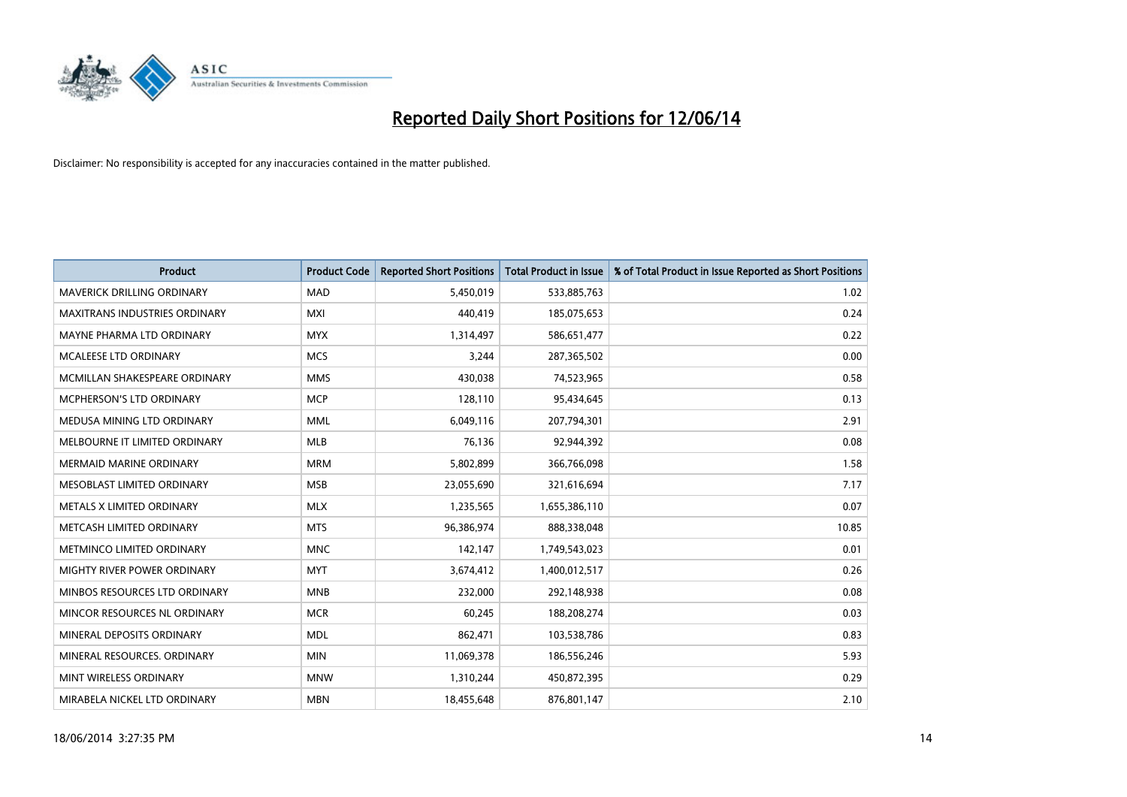

| <b>Product</b>                    | <b>Product Code</b> | <b>Reported Short Positions</b> | <b>Total Product in Issue</b> | % of Total Product in Issue Reported as Short Positions |
|-----------------------------------|---------------------|---------------------------------|-------------------------------|---------------------------------------------------------|
| <b>MAVERICK DRILLING ORDINARY</b> | <b>MAD</b>          | 5,450,019                       | 533,885,763                   | 1.02                                                    |
| MAXITRANS INDUSTRIES ORDINARY     | <b>MXI</b>          | 440,419                         | 185,075,653                   | 0.24                                                    |
| MAYNE PHARMA LTD ORDINARY         | <b>MYX</b>          | 1,314,497                       | 586,651,477                   | 0.22                                                    |
| MCALEESE LTD ORDINARY             | <b>MCS</b>          | 3,244                           | 287,365,502                   | 0.00                                                    |
| MCMILLAN SHAKESPEARE ORDINARY     | <b>MMS</b>          | 430,038                         | 74,523,965                    | 0.58                                                    |
| <b>MCPHERSON'S LTD ORDINARY</b>   | <b>MCP</b>          | 128,110                         | 95,434,645                    | 0.13                                                    |
| MEDUSA MINING LTD ORDINARY        | <b>MML</b>          | 6,049,116                       | 207,794,301                   | 2.91                                                    |
| MELBOURNE IT LIMITED ORDINARY     | <b>MLB</b>          | 76,136                          | 92,944,392                    | 0.08                                                    |
| MERMAID MARINE ORDINARY           | <b>MRM</b>          | 5,802,899                       | 366,766,098                   | 1.58                                                    |
| MESOBLAST LIMITED ORDINARY        | <b>MSB</b>          | 23,055,690                      | 321,616,694                   | 7.17                                                    |
| METALS X LIMITED ORDINARY         | <b>MLX</b>          | 1,235,565                       | 1,655,386,110                 | 0.07                                                    |
| METCASH LIMITED ORDINARY          | <b>MTS</b>          | 96,386,974                      | 888,338,048                   | 10.85                                                   |
| METMINCO LIMITED ORDINARY         | <b>MNC</b>          | 142,147                         | 1,749,543,023                 | 0.01                                                    |
| MIGHTY RIVER POWER ORDINARY       | <b>MYT</b>          | 3,674,412                       | 1,400,012,517                 | 0.26                                                    |
| MINBOS RESOURCES LTD ORDINARY     | <b>MNB</b>          | 232,000                         | 292,148,938                   | 0.08                                                    |
| MINCOR RESOURCES NL ORDINARY      | <b>MCR</b>          | 60,245                          | 188,208,274                   | 0.03                                                    |
| MINERAL DEPOSITS ORDINARY         | <b>MDL</b>          | 862,471                         | 103,538,786                   | 0.83                                                    |
| MINERAL RESOURCES. ORDINARY       | <b>MIN</b>          | 11,069,378                      | 186,556,246                   | 5.93                                                    |
| MINT WIRELESS ORDINARY            | <b>MNW</b>          | 1,310,244                       | 450,872,395                   | 0.29                                                    |
| MIRABELA NICKEL LTD ORDINARY      | <b>MBN</b>          | 18,455,648                      | 876,801,147                   | 2.10                                                    |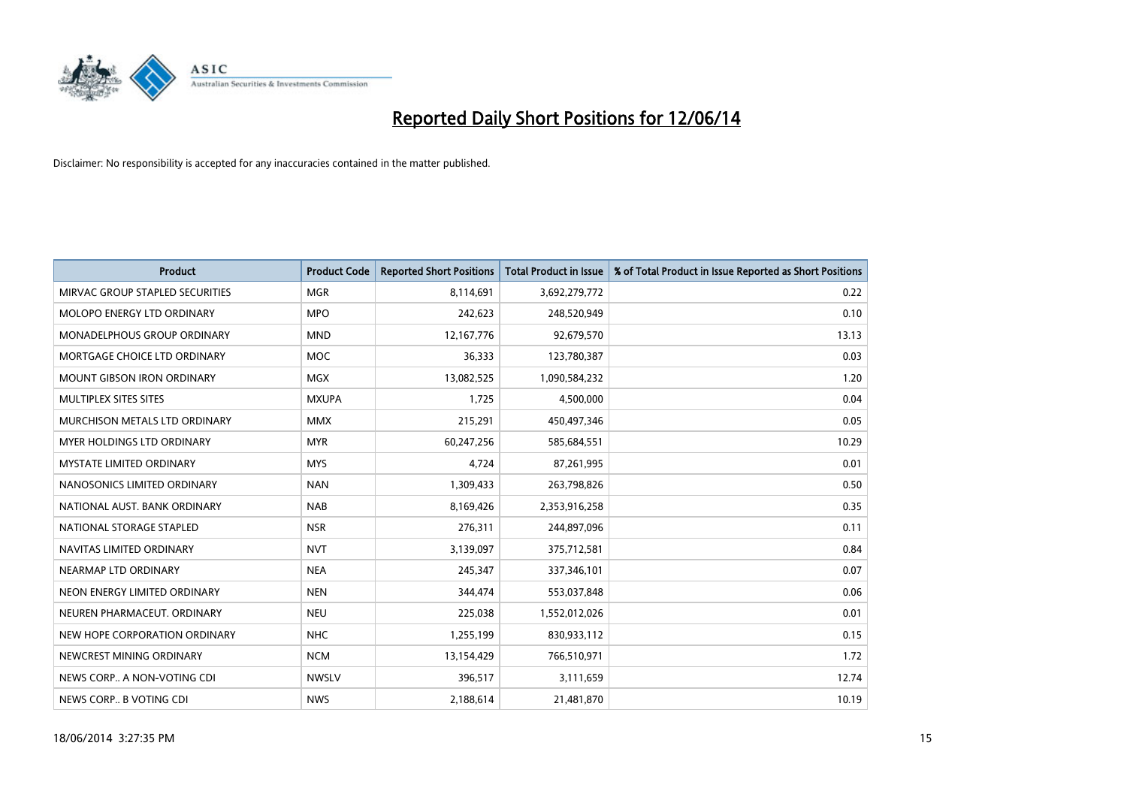

| <b>Product</b>                     | <b>Product Code</b> | <b>Reported Short Positions</b> | <b>Total Product in Issue</b> | % of Total Product in Issue Reported as Short Positions |
|------------------------------------|---------------------|---------------------------------|-------------------------------|---------------------------------------------------------|
| MIRVAC GROUP STAPLED SECURITIES    | <b>MGR</b>          | 8,114,691                       | 3,692,279,772                 | 0.22                                                    |
| MOLOPO ENERGY LTD ORDINARY         | <b>MPO</b>          | 242,623                         | 248,520,949                   | 0.10                                                    |
| <b>MONADELPHOUS GROUP ORDINARY</b> | <b>MND</b>          | 12,167,776                      | 92,679,570                    | 13.13                                                   |
| MORTGAGE CHOICE LTD ORDINARY       | <b>MOC</b>          | 36,333                          | 123,780,387                   | 0.03                                                    |
| <b>MOUNT GIBSON IRON ORDINARY</b>  | <b>MGX</b>          | 13,082,525                      | 1,090,584,232                 | 1.20                                                    |
| MULTIPLEX SITES SITES              | <b>MXUPA</b>        | 1,725                           | 4,500,000                     | 0.04                                                    |
| MURCHISON METALS LTD ORDINARY      | <b>MMX</b>          | 215,291                         | 450,497,346                   | 0.05                                                    |
| MYER HOLDINGS LTD ORDINARY         | <b>MYR</b>          | 60,247,256                      | 585,684,551                   | 10.29                                                   |
| <b>MYSTATE LIMITED ORDINARY</b>    | <b>MYS</b>          | 4,724                           | 87,261,995                    | 0.01                                                    |
| NANOSONICS LIMITED ORDINARY        | <b>NAN</b>          | 1,309,433                       | 263,798,826                   | 0.50                                                    |
| NATIONAL AUST. BANK ORDINARY       | <b>NAB</b>          | 8,169,426                       | 2,353,916,258                 | 0.35                                                    |
| NATIONAL STORAGE STAPLED           | <b>NSR</b>          | 276,311                         | 244,897,096                   | 0.11                                                    |
| NAVITAS LIMITED ORDINARY           | <b>NVT</b>          | 3,139,097                       | 375,712,581                   | 0.84                                                    |
| NEARMAP LTD ORDINARY               | <b>NEA</b>          | 245,347                         | 337,346,101                   | 0.07                                                    |
| NEON ENERGY LIMITED ORDINARY       | <b>NEN</b>          | 344,474                         | 553,037,848                   | 0.06                                                    |
| NEUREN PHARMACEUT. ORDINARY        | <b>NEU</b>          | 225,038                         | 1,552,012,026                 | 0.01                                                    |
| NEW HOPE CORPORATION ORDINARY      | <b>NHC</b>          | 1,255,199                       | 830,933,112                   | 0.15                                                    |
| NEWCREST MINING ORDINARY           | <b>NCM</b>          | 13,154,429                      | 766,510,971                   | 1.72                                                    |
| NEWS CORP A NON-VOTING CDI         | <b>NWSLV</b>        | 396,517                         | 3,111,659                     | 12.74                                                   |
| NEWS CORP B VOTING CDI             | <b>NWS</b>          | 2,188,614                       | 21,481,870                    | 10.19                                                   |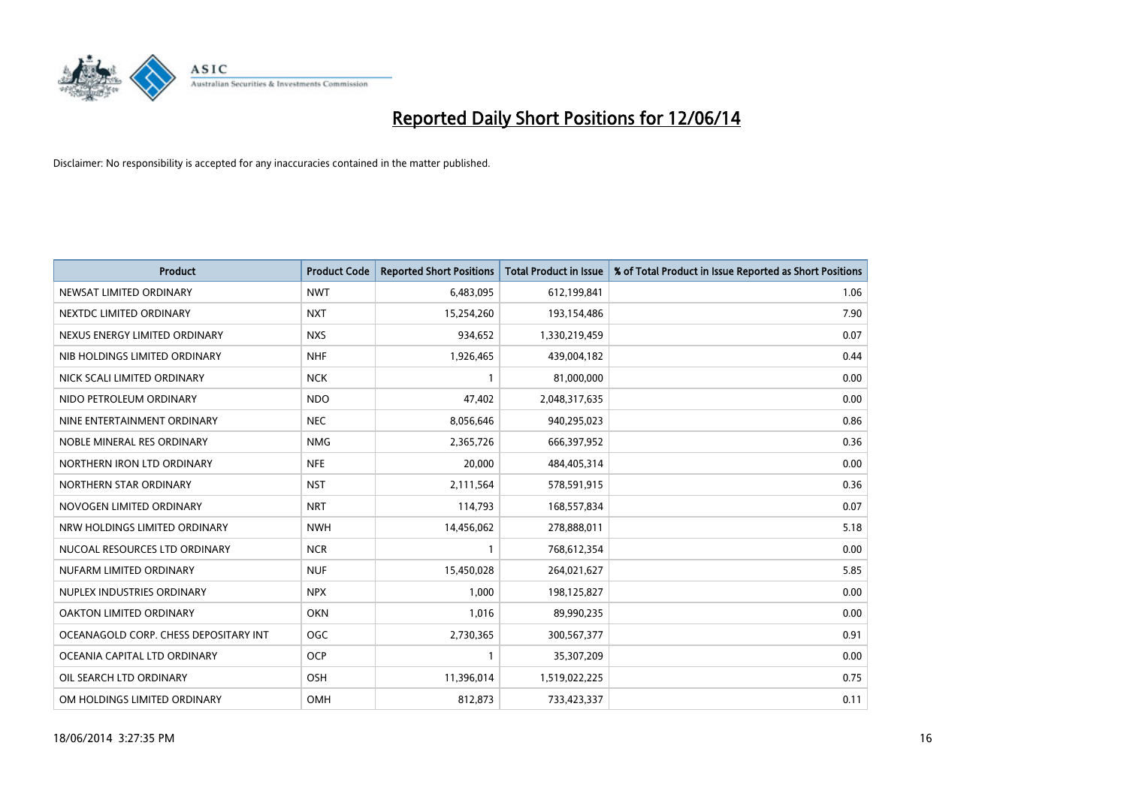

| <b>Product</b>                        | <b>Product Code</b> | <b>Reported Short Positions</b> | <b>Total Product in Issue</b> | % of Total Product in Issue Reported as Short Positions |
|---------------------------------------|---------------------|---------------------------------|-------------------------------|---------------------------------------------------------|
| NEWSAT LIMITED ORDINARY               | <b>NWT</b>          | 6,483,095                       | 612,199,841                   | 1.06                                                    |
| NEXTDC LIMITED ORDINARY               | <b>NXT</b>          | 15,254,260                      | 193,154,486                   | 7.90                                                    |
| NEXUS ENERGY LIMITED ORDINARY         | <b>NXS</b>          | 934,652                         | 1,330,219,459                 | 0.07                                                    |
| NIB HOLDINGS LIMITED ORDINARY         | <b>NHF</b>          | 1,926,465                       | 439,004,182                   | 0.44                                                    |
| NICK SCALI LIMITED ORDINARY           | <b>NCK</b>          | $\mathbf{1}$                    | 81,000,000                    | 0.00                                                    |
| NIDO PETROLEUM ORDINARY               | <b>NDO</b>          | 47,402                          | 2,048,317,635                 | 0.00                                                    |
| NINE ENTERTAINMENT ORDINARY           | <b>NEC</b>          | 8,056,646                       | 940,295,023                   | 0.86                                                    |
| NOBLE MINERAL RES ORDINARY            | <b>NMG</b>          | 2,365,726                       | 666,397,952                   | 0.36                                                    |
| NORTHERN IRON LTD ORDINARY            | <b>NFE</b>          | 20,000                          | 484,405,314                   | 0.00                                                    |
| NORTHERN STAR ORDINARY                | <b>NST</b>          | 2,111,564                       | 578,591,915                   | 0.36                                                    |
| NOVOGEN LIMITED ORDINARY              | <b>NRT</b>          | 114,793                         | 168,557,834                   | 0.07                                                    |
| NRW HOLDINGS LIMITED ORDINARY         | <b>NWH</b>          | 14,456,062                      | 278,888,011                   | 5.18                                                    |
| NUCOAL RESOURCES LTD ORDINARY         | <b>NCR</b>          | $\mathbf{1}$                    | 768,612,354                   | 0.00                                                    |
| NUFARM LIMITED ORDINARY               | <b>NUF</b>          | 15,450,028                      | 264,021,627                   | 5.85                                                    |
| NUPLEX INDUSTRIES ORDINARY            | <b>NPX</b>          | 1,000                           | 198,125,827                   | 0.00                                                    |
| OAKTON LIMITED ORDINARY               | <b>OKN</b>          | 1,016                           | 89,990,235                    | 0.00                                                    |
| OCEANAGOLD CORP. CHESS DEPOSITARY INT | <b>OGC</b>          | 2,730,365                       | 300,567,377                   | 0.91                                                    |
| OCEANIA CAPITAL LTD ORDINARY          | <b>OCP</b>          | 1                               | 35,307,209                    | 0.00                                                    |
| OIL SEARCH LTD ORDINARY               | OSH                 | 11,396,014                      | 1,519,022,225                 | 0.75                                                    |
| OM HOLDINGS LIMITED ORDINARY          | OMH                 | 812,873                         | 733,423,337                   | 0.11                                                    |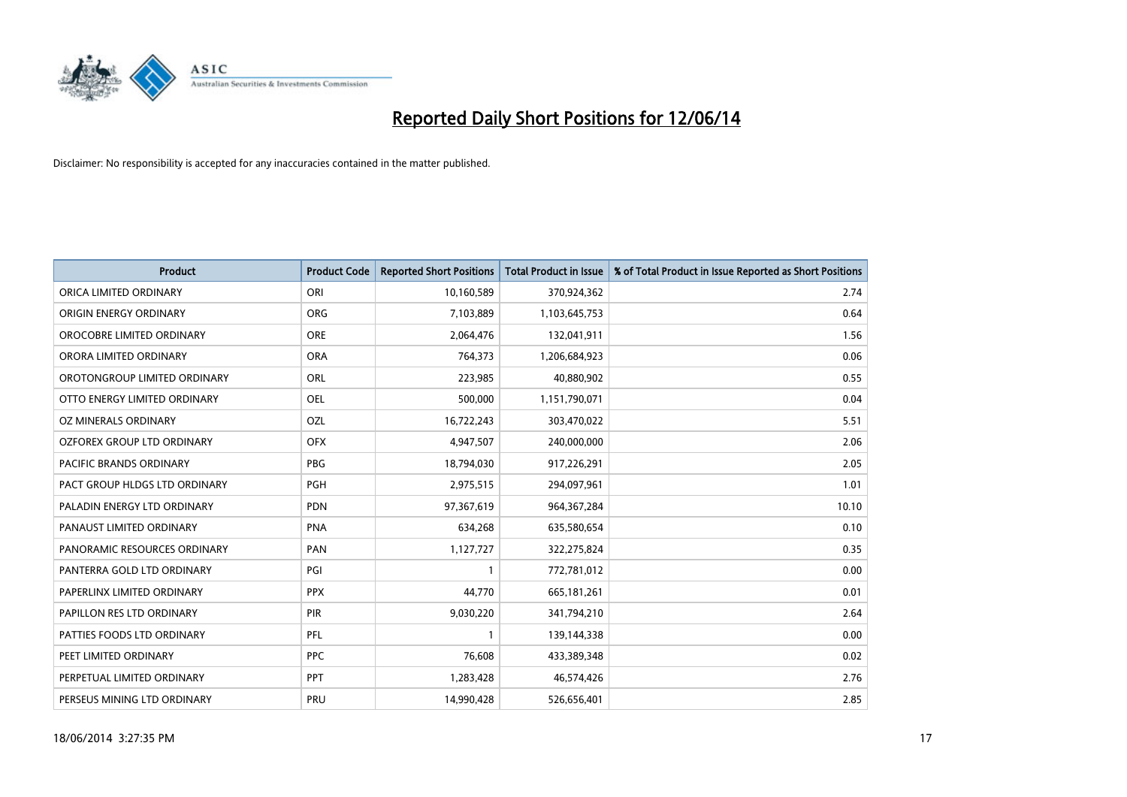

| <b>Product</b>                 | <b>Product Code</b> | <b>Reported Short Positions</b> | <b>Total Product in Issue</b> | % of Total Product in Issue Reported as Short Positions |
|--------------------------------|---------------------|---------------------------------|-------------------------------|---------------------------------------------------------|
| ORICA LIMITED ORDINARY         | ORI                 | 10,160,589                      | 370,924,362                   | 2.74                                                    |
| ORIGIN ENERGY ORDINARY         | <b>ORG</b>          | 7,103,889                       | 1,103,645,753                 | 0.64                                                    |
| OROCOBRE LIMITED ORDINARY      | <b>ORE</b>          | 2,064,476                       | 132,041,911                   | 1.56                                                    |
| ORORA LIMITED ORDINARY         | <b>ORA</b>          | 764,373                         | 1,206,684,923                 | 0.06                                                    |
| OROTONGROUP LIMITED ORDINARY   | ORL                 | 223,985                         | 40,880,902                    | 0.55                                                    |
| OTTO ENERGY LIMITED ORDINARY   | <b>OEL</b>          | 500,000                         | 1,151,790,071                 | 0.04                                                    |
| <b>OZ MINERALS ORDINARY</b>    | OZL                 | 16,722,243                      | 303,470,022                   | 5.51                                                    |
| OZFOREX GROUP LTD ORDINARY     | <b>OFX</b>          | 4,947,507                       | 240,000,000                   | 2.06                                                    |
| <b>PACIFIC BRANDS ORDINARY</b> | <b>PBG</b>          | 18,794,030                      | 917,226,291                   | 2.05                                                    |
| PACT GROUP HLDGS LTD ORDINARY  | <b>PGH</b>          | 2,975,515                       | 294,097,961                   | 1.01                                                    |
| PALADIN ENERGY LTD ORDINARY    | PDN                 | 97,367,619                      | 964,367,284                   | 10.10                                                   |
| PANAUST LIMITED ORDINARY       | <b>PNA</b>          | 634,268                         | 635,580,654                   | 0.10                                                    |
| PANORAMIC RESOURCES ORDINARY   | PAN                 | 1,127,727                       | 322,275,824                   | 0.35                                                    |
| PANTERRA GOLD LTD ORDINARY     | PGI                 | 1                               | 772,781,012                   | 0.00                                                    |
| PAPERLINX LIMITED ORDINARY     | <b>PPX</b>          | 44,770                          | 665, 181, 261                 | 0.01                                                    |
| PAPILLON RES LTD ORDINARY      | PIR                 | 9,030,220                       | 341,794,210                   | 2.64                                                    |
| PATTIES FOODS LTD ORDINARY     | PFL                 | $\mathbf{1}$                    | 139,144,338                   | 0.00                                                    |
| PEET LIMITED ORDINARY          | <b>PPC</b>          | 76,608                          | 433,389,348                   | 0.02                                                    |
| PERPETUAL LIMITED ORDINARY     | <b>PPT</b>          | 1,283,428                       | 46,574,426                    | 2.76                                                    |
| PERSEUS MINING LTD ORDINARY    | PRU                 | 14,990,428                      | 526,656,401                   | 2.85                                                    |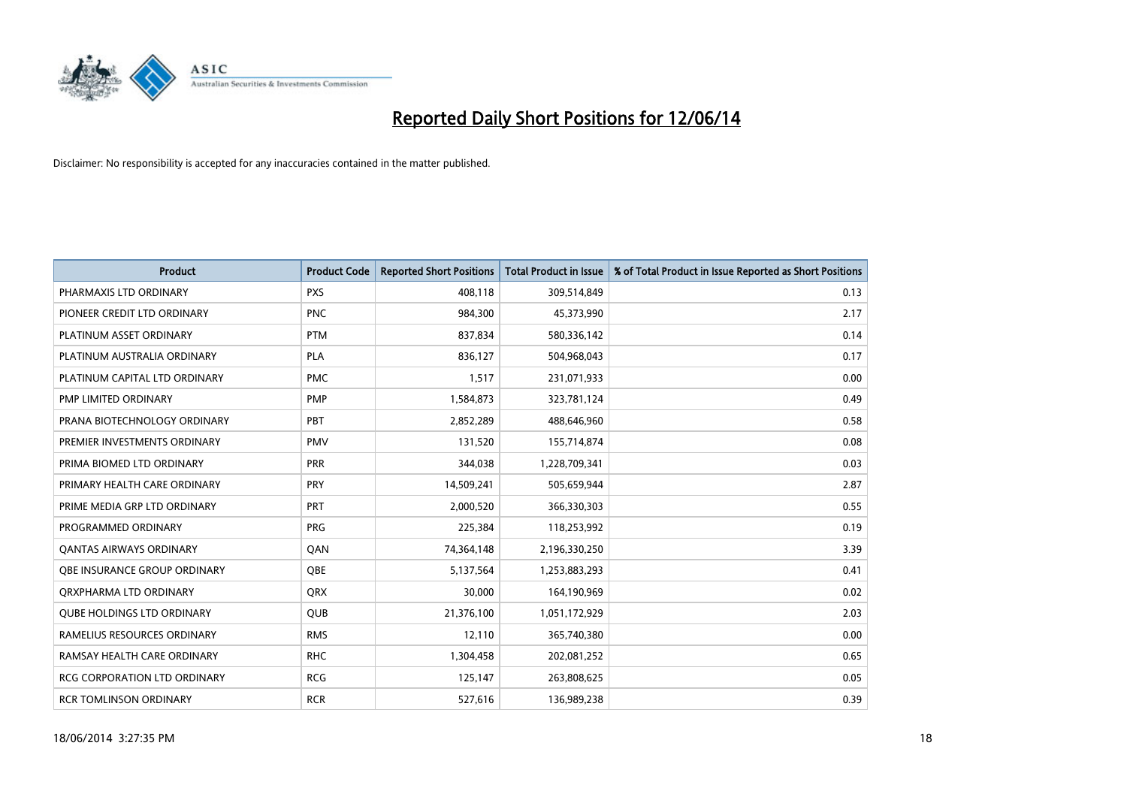

| Product                             | <b>Product Code</b> | <b>Reported Short Positions</b> | Total Product in Issue | % of Total Product in Issue Reported as Short Positions |
|-------------------------------------|---------------------|---------------------------------|------------------------|---------------------------------------------------------|
| PHARMAXIS LTD ORDINARY              | <b>PXS</b>          | 408,118                         | 309,514,849            | 0.13                                                    |
| PIONEER CREDIT LTD ORDINARY         | <b>PNC</b>          | 984,300                         | 45,373,990             | 2.17                                                    |
| PLATINUM ASSET ORDINARY             | <b>PTM</b>          | 837,834                         | 580,336,142            | 0.14                                                    |
| PLATINUM AUSTRALIA ORDINARY         | <b>PLA</b>          | 836,127                         | 504,968,043            | 0.17                                                    |
| PLATINUM CAPITAL LTD ORDINARY       | <b>PMC</b>          | 1,517                           | 231,071,933            | 0.00                                                    |
| <b>PMP LIMITED ORDINARY</b>         | <b>PMP</b>          | 1,584,873                       | 323,781,124            | 0.49                                                    |
| PRANA BIOTECHNOLOGY ORDINARY        | <b>PBT</b>          | 2,852,289                       | 488,646,960            | 0.58                                                    |
| PREMIER INVESTMENTS ORDINARY        | <b>PMV</b>          | 131,520                         | 155,714,874            | 0.08                                                    |
| PRIMA BIOMED LTD ORDINARY           | <b>PRR</b>          | 344,038                         | 1,228,709,341          | 0.03                                                    |
| PRIMARY HEALTH CARE ORDINARY        | <b>PRY</b>          | 14,509,241                      | 505,659,944            | 2.87                                                    |
| PRIME MEDIA GRP LTD ORDINARY        | <b>PRT</b>          | 2,000,520                       | 366,330,303            | 0.55                                                    |
| PROGRAMMED ORDINARY                 | <b>PRG</b>          | 225,384                         | 118,253,992            | 0.19                                                    |
| <b>QANTAS AIRWAYS ORDINARY</b>      | QAN                 | 74,364,148                      | 2,196,330,250          | 3.39                                                    |
| OBE INSURANCE GROUP ORDINARY        | OBE                 | 5,137,564                       | 1,253,883,293          | 0.41                                                    |
| ORXPHARMA LTD ORDINARY              | <b>QRX</b>          | 30,000                          | 164,190,969            | 0.02                                                    |
| <b>QUBE HOLDINGS LTD ORDINARY</b>   | <b>QUB</b>          | 21,376,100                      | 1,051,172,929          | 2.03                                                    |
| RAMELIUS RESOURCES ORDINARY         | <b>RMS</b>          | 12,110                          | 365,740,380            | 0.00                                                    |
| RAMSAY HEALTH CARE ORDINARY         | <b>RHC</b>          | 1,304,458                       | 202,081,252            | 0.65                                                    |
| <b>RCG CORPORATION LTD ORDINARY</b> | <b>RCG</b>          | 125,147                         | 263,808,625            | 0.05                                                    |
| <b>RCR TOMLINSON ORDINARY</b>       | <b>RCR</b>          | 527,616                         | 136,989,238            | 0.39                                                    |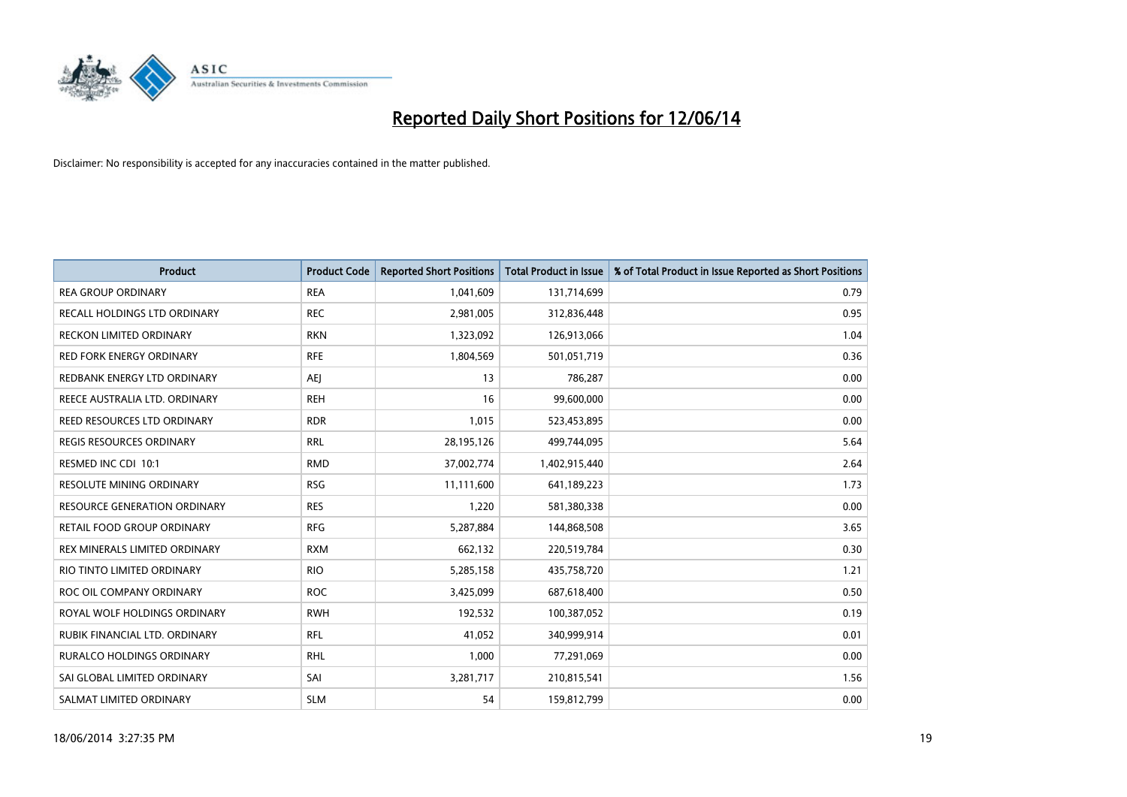

| <b>Product</b>                      | <b>Product Code</b> | <b>Reported Short Positions</b> | <b>Total Product in Issue</b> | % of Total Product in Issue Reported as Short Positions |
|-------------------------------------|---------------------|---------------------------------|-------------------------------|---------------------------------------------------------|
| <b>REA GROUP ORDINARY</b>           | <b>REA</b>          | 1,041,609                       | 131,714,699                   | 0.79                                                    |
| RECALL HOLDINGS LTD ORDINARY        | <b>REC</b>          | 2,981,005                       | 312,836,448                   | 0.95                                                    |
| RECKON LIMITED ORDINARY             | <b>RKN</b>          | 1,323,092                       | 126,913,066                   | 1.04                                                    |
| RED FORK ENERGY ORDINARY            | <b>RFE</b>          | 1,804,569                       | 501,051,719                   | 0.36                                                    |
| REDBANK ENERGY LTD ORDINARY         | <b>AEJ</b>          | 13                              | 786,287                       | 0.00                                                    |
| REECE AUSTRALIA LTD. ORDINARY       | <b>REH</b>          | 16                              | 99,600,000                    | 0.00                                                    |
| REED RESOURCES LTD ORDINARY         | <b>RDR</b>          | 1,015                           | 523,453,895                   | 0.00                                                    |
| REGIS RESOURCES ORDINARY            | <b>RRL</b>          | 28,195,126                      | 499,744,095                   | 5.64                                                    |
| RESMED INC CDI 10:1                 | <b>RMD</b>          | 37,002,774                      | 1,402,915,440                 | 2.64                                                    |
| <b>RESOLUTE MINING ORDINARY</b>     | <b>RSG</b>          | 11,111,600                      | 641,189,223                   | 1.73                                                    |
| <b>RESOURCE GENERATION ORDINARY</b> | <b>RES</b>          | 1,220                           | 581,380,338                   | 0.00                                                    |
| RETAIL FOOD GROUP ORDINARY          | <b>RFG</b>          | 5,287,884                       | 144,868,508                   | 3.65                                                    |
| REX MINERALS LIMITED ORDINARY       | <b>RXM</b>          | 662,132                         | 220,519,784                   | 0.30                                                    |
| RIO TINTO LIMITED ORDINARY          | <b>RIO</b>          | 5,285,158                       | 435,758,720                   | 1.21                                                    |
| ROC OIL COMPANY ORDINARY            | <b>ROC</b>          | 3,425,099                       | 687,618,400                   | 0.50                                                    |
| ROYAL WOLF HOLDINGS ORDINARY        | <b>RWH</b>          | 192,532                         | 100,387,052                   | 0.19                                                    |
| RUBIK FINANCIAL LTD. ORDINARY       | <b>RFL</b>          | 41,052                          | 340,999,914                   | 0.01                                                    |
| RURALCO HOLDINGS ORDINARY           | <b>RHL</b>          | 1,000                           | 77,291,069                    | 0.00                                                    |
| SAI GLOBAL LIMITED ORDINARY         | SAI                 | 3,281,717                       | 210,815,541                   | 1.56                                                    |
| SALMAT LIMITED ORDINARY             | <b>SLM</b>          | 54                              | 159,812,799                   | 0.00                                                    |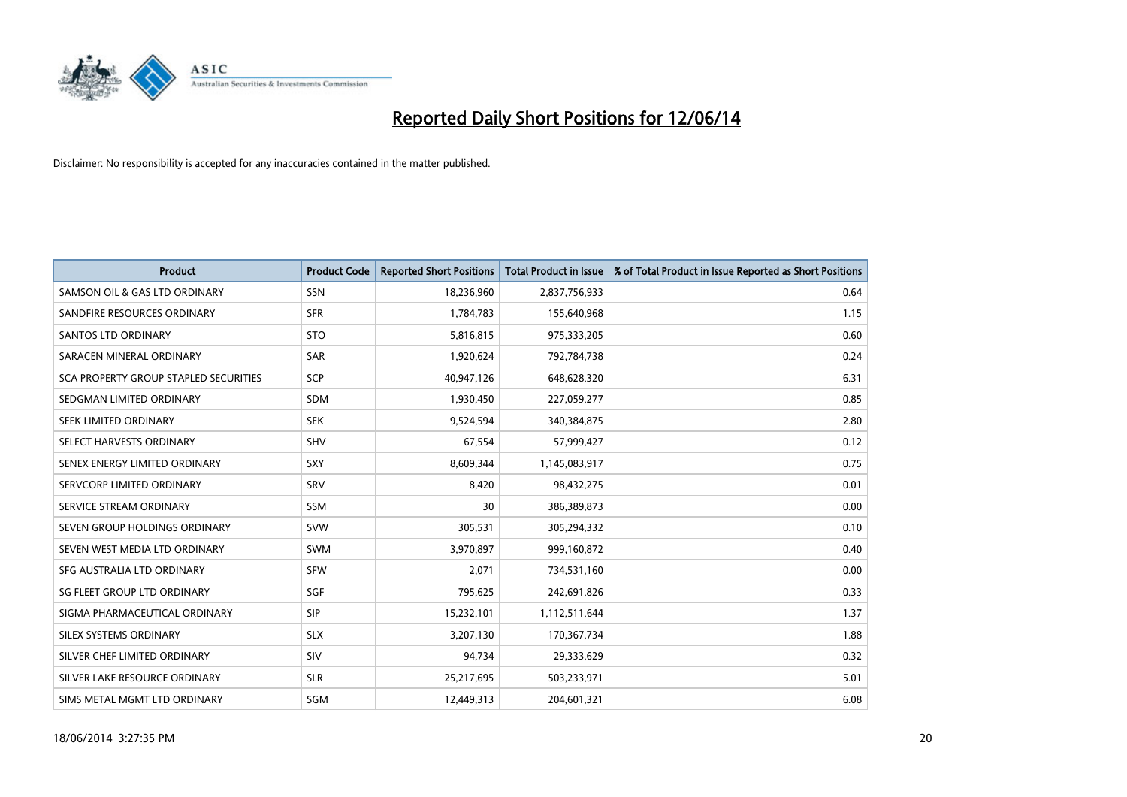

| <b>Product</b>                               | <b>Product Code</b> | <b>Reported Short Positions</b> | <b>Total Product in Issue</b> | % of Total Product in Issue Reported as Short Positions |
|----------------------------------------------|---------------------|---------------------------------|-------------------------------|---------------------------------------------------------|
| SAMSON OIL & GAS LTD ORDINARY                | SSN                 | 18,236,960                      | 2,837,756,933                 | 0.64                                                    |
| SANDFIRE RESOURCES ORDINARY                  | <b>SFR</b>          | 1,784,783                       | 155,640,968                   | 1.15                                                    |
| <b>SANTOS LTD ORDINARY</b>                   | <b>STO</b>          | 5,816,815                       | 975,333,205                   | 0.60                                                    |
| SARACEN MINERAL ORDINARY                     | <b>SAR</b>          | 1,920,624                       | 792,784,738                   | 0.24                                                    |
| <b>SCA PROPERTY GROUP STAPLED SECURITIES</b> | <b>SCP</b>          | 40,947,126                      | 648,628,320                   | 6.31                                                    |
| SEDGMAN LIMITED ORDINARY                     | SDM                 | 1,930,450                       | 227,059,277                   | 0.85                                                    |
| SEEK LIMITED ORDINARY                        | <b>SEK</b>          | 9,524,594                       | 340,384,875                   | 2.80                                                    |
| SELECT HARVESTS ORDINARY                     | SHV                 | 67,554                          | 57,999,427                    | 0.12                                                    |
| SENEX ENERGY LIMITED ORDINARY                | <b>SXY</b>          | 8,609,344                       | 1,145,083,917                 | 0.75                                                    |
| SERVCORP LIMITED ORDINARY                    | SRV                 | 8,420                           | 98,432,275                    | 0.01                                                    |
| SERVICE STREAM ORDINARY                      | <b>SSM</b>          | 30                              | 386,389,873                   | 0.00                                                    |
| SEVEN GROUP HOLDINGS ORDINARY                | <b>SVW</b>          | 305,531                         | 305,294,332                   | 0.10                                                    |
| SEVEN WEST MEDIA LTD ORDINARY                | <b>SWM</b>          | 3,970,897                       | 999,160,872                   | 0.40                                                    |
| SFG AUSTRALIA LTD ORDINARY                   | <b>SFW</b>          | 2,071                           | 734,531,160                   | 0.00                                                    |
| SG FLEET GROUP LTD ORDINARY                  | SGF                 | 795,625                         | 242,691,826                   | 0.33                                                    |
| SIGMA PHARMACEUTICAL ORDINARY                | <b>SIP</b>          | 15,232,101                      | 1,112,511,644                 | 1.37                                                    |
| SILEX SYSTEMS ORDINARY                       | <b>SLX</b>          | 3,207,130                       | 170,367,734                   | 1.88                                                    |
| SILVER CHEF LIMITED ORDINARY                 | SIV                 | 94,734                          | 29,333,629                    | 0.32                                                    |
| SILVER LAKE RESOURCE ORDINARY                | <b>SLR</b>          | 25,217,695                      | 503,233,971                   | 5.01                                                    |
| SIMS METAL MGMT LTD ORDINARY                 | SGM                 | 12,449,313                      | 204,601,321                   | 6.08                                                    |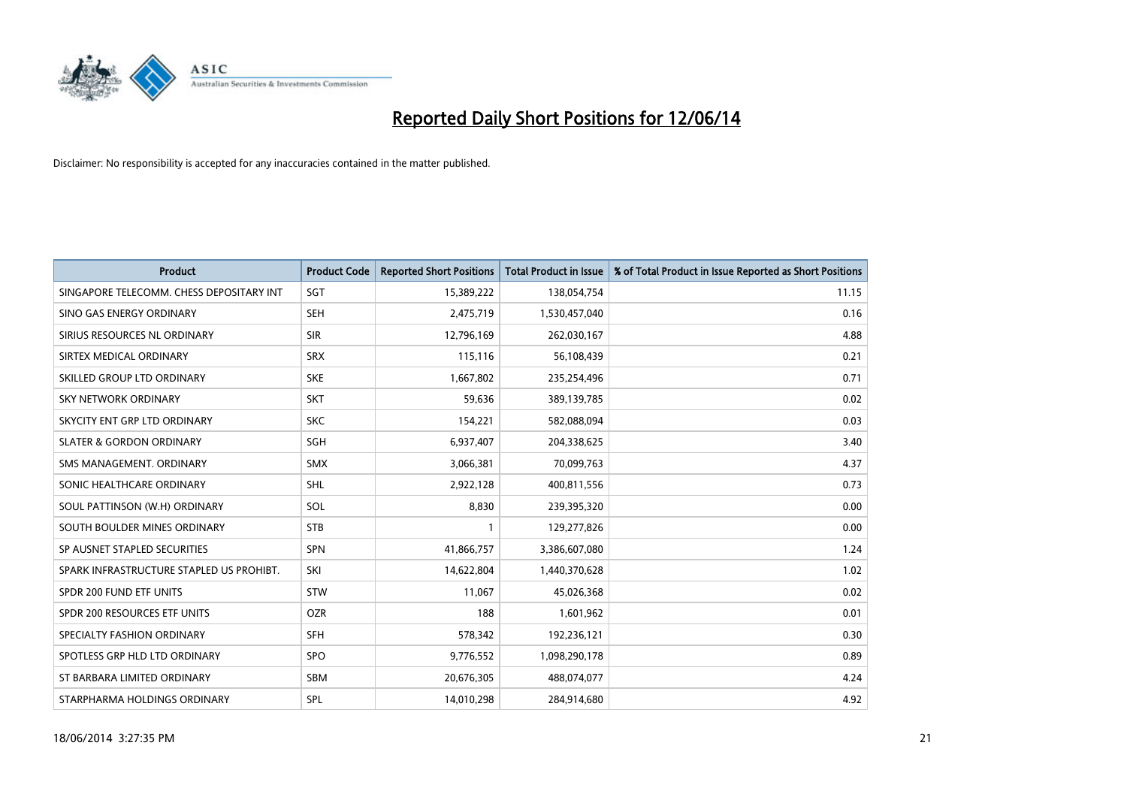

| <b>Product</b>                           | <b>Product Code</b> | <b>Reported Short Positions</b> | <b>Total Product in Issue</b> | % of Total Product in Issue Reported as Short Positions |
|------------------------------------------|---------------------|---------------------------------|-------------------------------|---------------------------------------------------------|
| SINGAPORE TELECOMM. CHESS DEPOSITARY INT | SGT                 | 15,389,222                      | 138,054,754                   | 11.15                                                   |
| SINO GAS ENERGY ORDINARY                 | SEH                 | 2,475,719                       | 1,530,457,040                 | 0.16                                                    |
| SIRIUS RESOURCES NL ORDINARY             | <b>SIR</b>          | 12,796,169                      | 262,030,167                   | 4.88                                                    |
| SIRTEX MEDICAL ORDINARY                  | <b>SRX</b>          | 115,116                         | 56,108,439                    | 0.21                                                    |
| SKILLED GROUP LTD ORDINARY               | <b>SKE</b>          | 1,667,802                       | 235,254,496                   | 0.71                                                    |
| SKY NETWORK ORDINARY                     | <b>SKT</b>          | 59,636                          | 389,139,785                   | 0.02                                                    |
| SKYCITY ENT GRP LTD ORDINARY             | <b>SKC</b>          | 154,221                         | 582,088,094                   | 0.03                                                    |
| <b>SLATER &amp; GORDON ORDINARY</b>      | SGH                 | 6,937,407                       | 204,338,625                   | 3.40                                                    |
| SMS MANAGEMENT. ORDINARY                 | <b>SMX</b>          | 3,066,381                       | 70,099,763                    | 4.37                                                    |
| SONIC HEALTHCARE ORDINARY                | <b>SHL</b>          | 2,922,128                       | 400,811,556                   | 0.73                                                    |
| SOUL PATTINSON (W.H) ORDINARY            | SOL                 | 8,830                           | 239,395,320                   | 0.00                                                    |
| SOUTH BOULDER MINES ORDINARY             | <b>STB</b>          | 1                               | 129,277,826                   | 0.00                                                    |
| SP AUSNET STAPLED SECURITIES             | <b>SPN</b>          | 41,866,757                      | 3,386,607,080                 | 1.24                                                    |
| SPARK INFRASTRUCTURE STAPLED US PROHIBT. | SKI                 | 14,622,804                      | 1,440,370,628                 | 1.02                                                    |
| SPDR 200 FUND ETF UNITS                  | <b>STW</b>          | 11,067                          | 45,026,368                    | 0.02                                                    |
| SPDR 200 RESOURCES ETF UNITS             | <b>OZR</b>          | 188                             | 1,601,962                     | 0.01                                                    |
| SPECIALTY FASHION ORDINARY               | <b>SFH</b>          | 578,342                         | 192,236,121                   | 0.30                                                    |
| SPOTLESS GRP HLD LTD ORDINARY            | <b>SPO</b>          | 9,776,552                       | 1,098,290,178                 | 0.89                                                    |
| ST BARBARA LIMITED ORDINARY              | <b>SBM</b>          | 20,676,305                      | 488,074,077                   | 4.24                                                    |
| STARPHARMA HOLDINGS ORDINARY             | SPL                 | 14,010,298                      | 284,914,680                   | 4.92                                                    |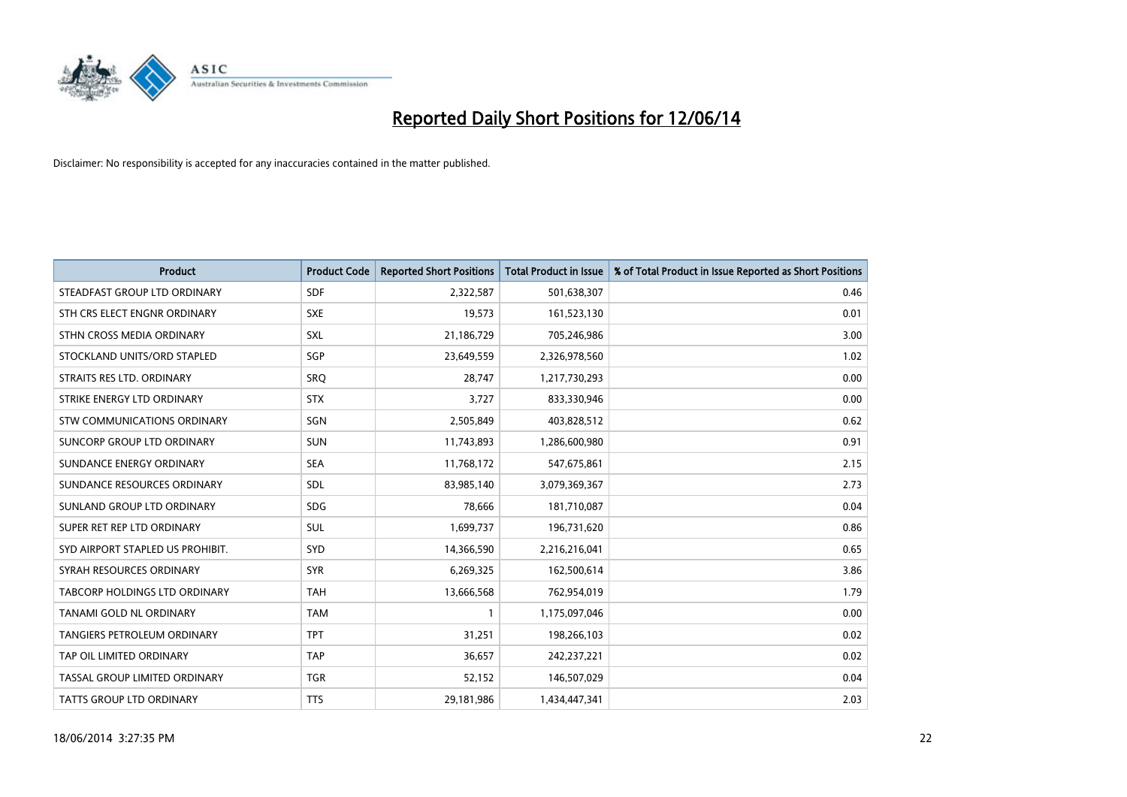

| <b>Product</b>                     | <b>Product Code</b> | <b>Reported Short Positions</b> | <b>Total Product in Issue</b> | % of Total Product in Issue Reported as Short Positions |
|------------------------------------|---------------------|---------------------------------|-------------------------------|---------------------------------------------------------|
| STEADFAST GROUP LTD ORDINARY       | <b>SDF</b>          | 2,322,587                       | 501,638,307                   | 0.46                                                    |
| STH CRS ELECT ENGNR ORDINARY       | <b>SXE</b>          | 19,573                          | 161,523,130                   | 0.01                                                    |
| STHN CROSS MEDIA ORDINARY          | <b>SXL</b>          | 21,186,729                      | 705,246,986                   | 3.00                                                    |
| STOCKLAND UNITS/ORD STAPLED        | SGP                 | 23,649,559                      | 2,326,978,560                 | 1.02                                                    |
| STRAITS RES LTD. ORDINARY          | SRO                 | 28,747                          | 1,217,730,293                 | 0.00                                                    |
| STRIKE ENERGY LTD ORDINARY         | <b>STX</b>          | 3,727                           | 833,330,946                   | 0.00                                                    |
| STW COMMUNICATIONS ORDINARY        | SGN                 | 2,505,849                       | 403,828,512                   | 0.62                                                    |
| SUNCORP GROUP LTD ORDINARY         | <b>SUN</b>          | 11,743,893                      | 1,286,600,980                 | 0.91                                                    |
| SUNDANCE ENERGY ORDINARY           | <b>SEA</b>          | 11,768,172                      | 547,675,861                   | 2.15                                                    |
| SUNDANCE RESOURCES ORDINARY        | <b>SDL</b>          | 83,985,140                      | 3,079,369,367                 | 2.73                                                    |
| SUNLAND GROUP LTD ORDINARY         | <b>SDG</b>          | 78,666                          | 181,710,087                   | 0.04                                                    |
| SUPER RET REP LTD ORDINARY         | SUL                 | 1,699,737                       | 196,731,620                   | 0.86                                                    |
| SYD AIRPORT STAPLED US PROHIBIT.   | <b>SYD</b>          | 14,366,590                      | 2,216,216,041                 | 0.65                                                    |
| SYRAH RESOURCES ORDINARY           | <b>SYR</b>          | 6,269,325                       | 162,500,614                   | 3.86                                                    |
| TABCORP HOLDINGS LTD ORDINARY      | <b>TAH</b>          | 13,666,568                      | 762,954,019                   | 1.79                                                    |
| TANAMI GOLD NL ORDINARY            | <b>TAM</b>          | 1                               | 1,175,097,046                 | 0.00                                                    |
| <b>TANGIERS PETROLEUM ORDINARY</b> | <b>TPT</b>          | 31,251                          | 198,266,103                   | 0.02                                                    |
| TAP OIL LIMITED ORDINARY           | <b>TAP</b>          | 36,657                          | 242,237,221                   | 0.02                                                    |
| TASSAL GROUP LIMITED ORDINARY      | <b>TGR</b>          | 52,152                          | 146,507,029                   | 0.04                                                    |
| <b>TATTS GROUP LTD ORDINARY</b>    | <b>TTS</b>          | 29,181,986                      | 1,434,447,341                 | 2.03                                                    |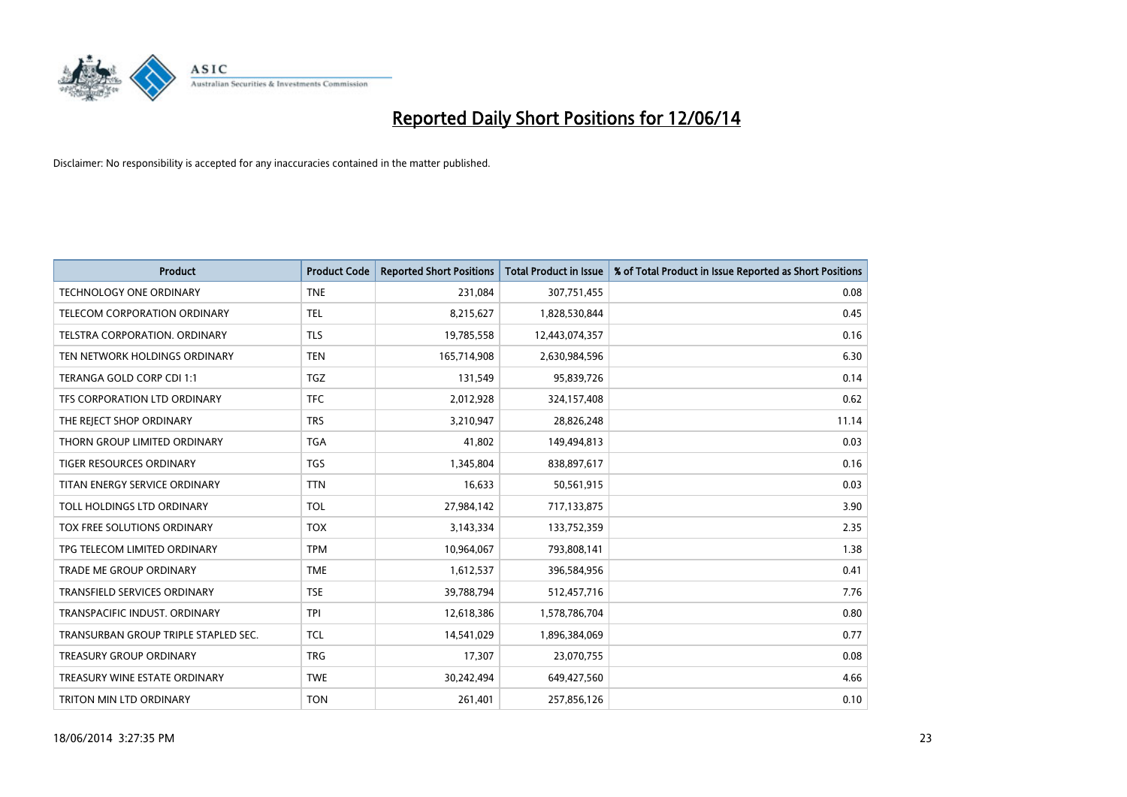

| <b>Product</b>                       | <b>Product Code</b> | <b>Reported Short Positions</b> | <b>Total Product in Issue</b> | % of Total Product in Issue Reported as Short Positions |
|--------------------------------------|---------------------|---------------------------------|-------------------------------|---------------------------------------------------------|
| <b>TECHNOLOGY ONE ORDINARY</b>       | <b>TNE</b>          | 231,084                         | 307,751,455                   | 0.08                                                    |
| TELECOM CORPORATION ORDINARY         | <b>TEL</b>          | 8,215,627                       | 1,828,530,844                 | 0.45                                                    |
| TELSTRA CORPORATION, ORDINARY        | <b>TLS</b>          | 19,785,558                      | 12,443,074,357                | 0.16                                                    |
| TEN NETWORK HOLDINGS ORDINARY        | <b>TEN</b>          | 165,714,908                     | 2,630,984,596                 | 6.30                                                    |
| TERANGA GOLD CORP CDI 1:1            | TGZ                 | 131,549                         | 95,839,726                    | 0.14                                                    |
| TFS CORPORATION LTD ORDINARY         | <b>TFC</b>          | 2,012,928                       | 324,157,408                   | 0.62                                                    |
| THE REJECT SHOP ORDINARY             | <b>TRS</b>          | 3,210,947                       | 28,826,248                    | 11.14                                                   |
| THORN GROUP LIMITED ORDINARY         | <b>TGA</b>          | 41.802                          | 149,494,813                   | 0.03                                                    |
| TIGER RESOURCES ORDINARY             | <b>TGS</b>          | 1,345,804                       | 838,897,617                   | 0.16                                                    |
| TITAN ENERGY SERVICE ORDINARY        | <b>TTN</b>          | 16,633                          | 50,561,915                    | 0.03                                                    |
| TOLL HOLDINGS LTD ORDINARY           | <b>TOL</b>          | 27,984,142                      | 717,133,875                   | 3.90                                                    |
| TOX FREE SOLUTIONS ORDINARY          | <b>TOX</b>          | 3,143,334                       | 133,752,359                   | 2.35                                                    |
| TPG TELECOM LIMITED ORDINARY         | <b>TPM</b>          | 10,964,067                      | 793,808,141                   | 1.38                                                    |
| <b>TRADE ME GROUP ORDINARY</b>       | <b>TME</b>          | 1,612,537                       | 396,584,956                   | 0.41                                                    |
| <b>TRANSFIELD SERVICES ORDINARY</b>  | <b>TSE</b>          | 39,788,794                      | 512,457,716                   | 7.76                                                    |
| TRANSPACIFIC INDUST. ORDINARY        | <b>TPI</b>          | 12,618,386                      | 1,578,786,704                 | 0.80                                                    |
| TRANSURBAN GROUP TRIPLE STAPLED SEC. | TCL                 | 14,541,029                      | 1,896,384,069                 | 0.77                                                    |
| <b>TREASURY GROUP ORDINARY</b>       | <b>TRG</b>          | 17,307                          | 23,070,755                    | 0.08                                                    |
| TREASURY WINE ESTATE ORDINARY        | <b>TWE</b>          | 30,242,494                      | 649,427,560                   | 4.66                                                    |
| TRITON MIN LTD ORDINARY              | <b>TON</b>          | 261,401                         | 257,856,126                   | 0.10                                                    |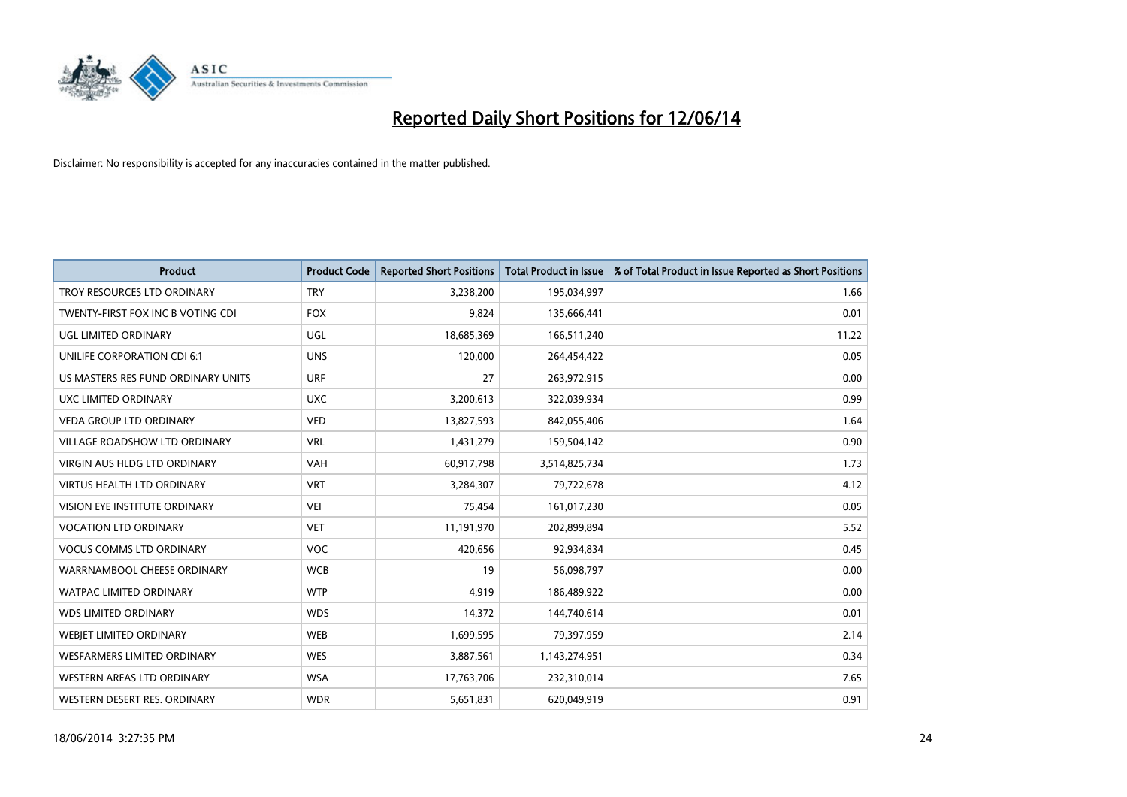

| <b>Product</b>                     | <b>Product Code</b> | <b>Reported Short Positions</b> | <b>Total Product in Issue</b> | % of Total Product in Issue Reported as Short Positions |
|------------------------------------|---------------------|---------------------------------|-------------------------------|---------------------------------------------------------|
| TROY RESOURCES LTD ORDINARY        | <b>TRY</b>          | 3,238,200                       | 195,034,997                   | 1.66                                                    |
| TWENTY-FIRST FOX INC B VOTING CDI  | <b>FOX</b>          | 9,824                           | 135,666,441                   | 0.01                                                    |
| UGL LIMITED ORDINARY               | UGL                 | 18,685,369                      | 166,511,240                   | 11.22                                                   |
| UNILIFE CORPORATION CDI 6:1        | <b>UNS</b>          | 120,000                         | 264,454,422                   | 0.05                                                    |
| US MASTERS RES FUND ORDINARY UNITS | <b>URF</b>          | 27                              | 263,972,915                   | 0.00                                                    |
| UXC LIMITED ORDINARY               | <b>UXC</b>          | 3,200,613                       | 322,039,934                   | 0.99                                                    |
| VEDA GROUP LTD ORDINARY            | <b>VED</b>          | 13,827,593                      | 842,055,406                   | 1.64                                                    |
| VILLAGE ROADSHOW LTD ORDINARY      | <b>VRL</b>          | 1,431,279                       | 159,504,142                   | 0.90                                                    |
| VIRGIN AUS HLDG LTD ORDINARY       | <b>VAH</b>          | 60,917,798                      | 3,514,825,734                 | 1.73                                                    |
| <b>VIRTUS HEALTH LTD ORDINARY</b>  | <b>VRT</b>          | 3,284,307                       | 79,722,678                    | 4.12                                                    |
| VISION EYE INSTITUTE ORDINARY      | <b>VEI</b>          | 75,454                          | 161,017,230                   | 0.05                                                    |
| <b>VOCATION LTD ORDINARY</b>       | <b>VET</b>          | 11,191,970                      | 202,899,894                   | 5.52                                                    |
| <b>VOCUS COMMS LTD ORDINARY</b>    | <b>VOC</b>          | 420,656                         | 92,934,834                    | 0.45                                                    |
| WARRNAMBOOL CHEESE ORDINARY        | <b>WCB</b>          | 19                              | 56,098,797                    | 0.00                                                    |
| <b>WATPAC LIMITED ORDINARY</b>     | <b>WTP</b>          | 4,919                           | 186,489,922                   | 0.00                                                    |
| <b>WDS LIMITED ORDINARY</b>        | <b>WDS</b>          | 14,372                          | 144,740,614                   | 0.01                                                    |
| WEBJET LIMITED ORDINARY            | <b>WEB</b>          | 1,699,595                       | 79,397,959                    | 2.14                                                    |
| <b>WESFARMERS LIMITED ORDINARY</b> | <b>WES</b>          | 3,887,561                       | 1,143,274,951                 | 0.34                                                    |
| WESTERN AREAS LTD ORDINARY         | <b>WSA</b>          | 17,763,706                      | 232,310,014                   | 7.65                                                    |
| WESTERN DESERT RES. ORDINARY       | <b>WDR</b>          | 5,651,831                       | 620,049,919                   | 0.91                                                    |